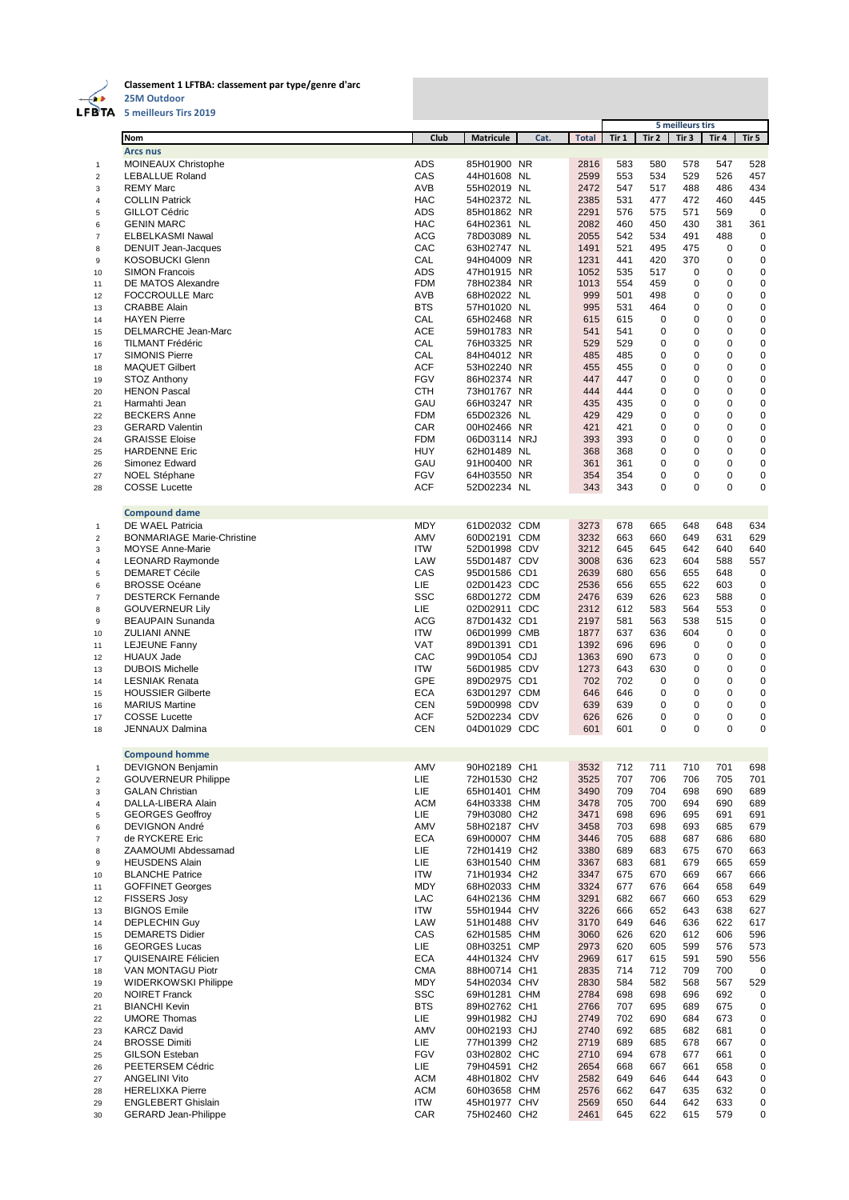

**Classement 1 LFTBA: classement par type/genre d'arc**

**25M Outdoor**

| FBTA                    | 5 meilleurs Tirs 2019                                 |                          |                              |      |              |            |                            |                           |               |                            |
|-------------------------|-------------------------------------------------------|--------------------------|------------------------------|------|--------------|------------|----------------------------|---------------------------|---------------|----------------------------|
|                         | <b>Nom</b>                                            | Club                     | <b>Matricule</b>             | Cat. | <b>Total</b> | Tir 1      | Tir 2                      | 5 meilleurs tirs<br>Tir 3 | Tir 4         | Tir 5                      |
|                         | <b>Arcs nus</b>                                       |                          |                              |      |              |            |                            |                           |               |                            |
| 1                       | MOINEAUX Christophe                                   | <b>ADS</b>               | 85H01900 NR                  |      | 2816         | 583        | 580                        | 578                       | 547           | 528                        |
| $\overline{2}$          | <b>LEBALLUE Roland</b>                                | CAS                      | 44H01608 NL                  |      | 2599         | 553        | 534                        | 529                       | 526           | 457                        |
| 3                       | <b>REMY Marc</b>                                      | <b>AVB</b>               | 55H02019 NL                  |      | 2472         | 547        | 517                        | 488                       | 486           | 434                        |
| 4                       | <b>COLLIN Patrick</b>                                 | <b>HAC</b>               | 54H02372 NL                  |      | 2385         | 531        | 477                        | 472                       | 460           | 445                        |
| 5                       | GILLOT Cédric                                         | <b>ADS</b>               | 85H01862 NR                  |      | 2291         | 576        | 575                        | 571                       | 569           | $\mathbf 0$                |
| 6                       | <b>GENIN MARC</b>                                     | <b>HAC</b>               | 64H02361 NL                  |      | 2082         | 460        | 450                        | 430                       | 381           | 361                        |
| $\overline{7}$          | <b>ELBELKASMI Nawal</b>                               | <b>ACG</b>               | 78D03089 NL                  |      | 2055         | 542        | 534                        | 491                       | 488           | $\mathbf 0$                |
| 8                       | <b>DENUIT Jean-Jacques</b>                            | CAC                      | 63H02747 NL                  |      | 1491         | 521        | 495                        | 475                       | 0             | $\mathbf 0$                |
| 9                       | <b>KOSOBUCKI Glenn</b>                                | CAL                      | 94H04009 NR                  |      | 1231         | 441        | 420                        | 370                       | 0             | $\mathbf 0$                |
| 10                      | <b>SIMON Francois</b>                                 | <b>ADS</b>               | 47H01915 NR                  |      | 1052         | 535        | 517                        | $\mathbf 0$               | 0             | $\mathbf 0$                |
| 11                      | DE MATOS Alexandre                                    | <b>FDM</b>               | 78H02384 NR                  |      | 1013         | 554        | 459                        | 0                         | 0             | $\mathbf 0$                |
| 12                      | <b>FOCCROULLE Marc</b>                                | AVB                      | 68H02022 NL                  |      | 999          | 501        | 498                        | 0                         | 0             | $\mathbf 0$                |
| 13                      | <b>CRABBE Alain</b>                                   | <b>BTS</b>               | 57H01020 NL                  |      | 995          | 531        | 464                        | 0                         | 0             | $\mathbf 0$                |
| 14                      | <b>HAYEN Pierre</b>                                   | CAL                      | 65H02468 NR                  |      | 615          | 615        | $\mathbf 0$                | 0                         | 0<br>$\Omega$ | $\mathbf 0$                |
| 15                      | DELMARCHE Jean-Marc<br><b>TILMANT Frédéric</b>        | <b>ACE</b><br>CAL        | 59H01783 NR<br>76H03325 NR   |      | 541<br>529   | 541<br>529 | $\mathbf 0$<br>$\mathbf 0$ | 0<br>0                    | 0             | $\mathbf 0$<br>$\mathbf 0$ |
| 16<br>17                | <b>SIMONIS Pierre</b>                                 | CAL                      | 84H04012 NR                  |      | 485          | 485        | $\mathbf 0$                | 0                         | 0             | $\mathbf 0$                |
| 18                      | <b>MAQUET Gilbert</b>                                 | <b>ACF</b>               | 53H02240 NR                  |      | 455          | 455        | 0                          | 0                         | 0             | $\mathbf 0$                |
| 19                      | <b>STOZ Anthony</b>                                   | <b>FGV</b>               | 86H02374 NR                  |      | 447          | 447        | $\mathbf 0$                | 0                         | 0             | $\mathbf 0$                |
| 20                      | <b>HENON Pascal</b>                                   | <b>CTH</b>               | 73H01767 NR                  |      | 444          | 444        | 0                          | 0                         | 0             | $\mathbf 0$                |
| 21                      | Harmahti Jean                                         | GAU                      | 66H03247 NR                  |      | 435          | 435        | $\mathbf 0$                | 0                         | 0             | $\mathbf 0$                |
| 22                      | <b>BECKERS Anne</b>                                   | <b>FDM</b>               | 65D02326 NL                  |      | 429          | 429        | $\mathbf 0$                | 0                         | 0             | $\mathbf 0$                |
| 23                      | <b>GERARD Valentin</b>                                | CAR                      | 00H02466 NR                  |      | 421          | 421        | 0                          | 0                         | 0             | $\mathbf 0$                |
| 24                      | <b>GRAISSE Eloise</b>                                 | <b>FDM</b>               | 06D03114 NRJ                 |      | 393          | 393        | $\mathbf 0$                | 0                         | 0             | $\mathbf 0$                |
| 25                      | <b>HARDENNE Eric</b>                                  | <b>HUY</b>               | 62H01489 NL                  |      | 368          | 368        | 0                          | 0                         | $\Omega$      | $\mathbf 0$                |
| 26                      | Simonez Edward                                        | GAU                      | 91H00400 NR                  |      | 361          | 361        | $\mathbf 0$                | 0                         | 0             | $\mathbf 0$                |
| 27                      | <b>NOEL Stéphane</b>                                  | <b>FGV</b>               | 64H03550 NR                  |      | 354          | 354        | $\mathbf 0$                | 0                         | 0             | $\mathbf 0$                |
| 28                      | <b>COSSE Lucette</b>                                  | <b>ACF</b>               | 52D02234 NL                  |      | 343          | 343        | $\mathbf 0$                | 0                         | 0             | $\mathbf 0$                |
|                         |                                                       |                          |                              |      |              |            |                            |                           |               |                            |
|                         | <b>Compound dame</b>                                  |                          |                              |      |              |            |                            |                           |               |                            |
| 1                       | DE WAEL Patricia<br><b>BONMARIAGE Marie-Christine</b> | MDY<br>AMV               | 61D02032 CDM<br>60D02191 CDM |      | 3273<br>3232 | 678<br>663 | 665<br>660                 | 648<br>649                | 648<br>631    | 634<br>629                 |
| $\overline{2}$<br>3     | <b>MOYSE Anne-Marie</b>                               | <b>ITW</b>               | 52D01998 CDV                 |      | 3212         | 645        | 645                        | 642                       | 640           | 640                        |
| $\overline{\mathbf{4}}$ | <b>LEONARD Raymonde</b>                               | LAW                      | 55D01487 CDV                 |      | 3008         | 636        | 623                        | 604                       | 588           | 557                        |
| 5                       | <b>DEMARET Cécile</b>                                 | CAS                      | 95D01586 CD1                 |      | 2639         | 680        | 656                        | 655                       | 648           | 0                          |
| 6                       | <b>BROSSE Océane</b>                                  | LIE                      | 02D01423 CDC                 |      | 2536         | 656        | 655                        | 622                       | 603           | $\mathbf 0$                |
| $\overline{7}$          | <b>DESTERCK Fernande</b>                              | <b>SSC</b>               | 68D01272 CDM                 |      | 2476         | 639        | 626                        | 623                       | 588           | $\mathbf 0$                |
| 8                       | <b>GOUVERNEUR Lily</b>                                | LIE.                     | 02D02911 CDC                 |      | 2312         | 612        | 583                        | 564                       | 553           | $\mathbf 0$                |
| 9                       | <b>BEAUPAIN Sunanda</b>                               | <b>ACG</b>               | 87D01432 CD1                 |      | 2197         | 581        | 563                        | 538                       | 515           | $\mathbf 0$                |
| 10                      | <b>ZULIANI ANNE</b>                                   | <b>ITW</b>               | 06D01999 CMB                 |      | 1877         | 637        | 636                        | 604                       | 0             | $\pmb{0}$                  |
| 11                      | <b>LEJEUNE Fanny</b>                                  | <b>VAT</b>               | 89D01391 CD1                 |      | 1392         | 696        | 696                        | 0                         | 0             | $\mathbf 0$                |
| 12                      | <b>HUAUX Jade</b>                                     | CAC                      | 99D01054 CDJ                 |      | 1363         | 690        | 673                        | $\mathbf 0$               | 0             | $\mathbf 0$                |
| 13                      | <b>DUBOIS Michelle</b>                                | <b>ITW</b>               | 56D01985 CDV                 |      | 1273         | 643        | 630                        | 0                         | 0             | $\mathbf 0$                |
| 14                      | <b>LESNIAK Renata</b>                                 | GPE                      | 89D02975 CD1                 |      | 702          | 702        | 0                          | 0                         | 0             | $\mathbf 0$                |
| 15                      | <b>HOUSSIER Gilberte</b>                              | <b>ECA</b>               | 63D01297 CDM                 |      | 646          | 646        | $\mathbf 0$                | 0                         | 0             | $\mathbf 0$                |
| 16                      | <b>MARIUS Martine</b>                                 | <b>CEN</b>               | 59D00998 CDV                 |      | 639          | 639        | 0                          | 0                         | 0             | $\mathbf 0$                |
| 17                      | <b>COSSE Lucette</b>                                  | <b>ACF</b><br><b>CEN</b> | 52D02234 CDV<br>04D01029 CDC |      | 626          | 626<br>601 | 0<br>0                     | 0<br>0                    | 0<br>0        | $\mathbf 0$<br>$\mathbf 0$ |
| 18                      | <b>JENNAUX Dalmina</b>                                |                          |                              |      | 601          |            |                            |                           |               |                            |
|                         | <b>Compound homme</b>                                 |                          |                              |      |              |            |                            |                           |               |                            |
| 1                       | <b>DEVIGNON Benjamin</b>                              | AMV                      | 90H02189 CH1                 |      | 3532         | 712        | 711                        | 710                       | 701           | 698                        |
| $\overline{2}$          | <b>GOUVERNEUR Philippe</b>                            | LIE                      | 72H01530 CH2                 |      | 3525         | 707        | 706                        | 706                       | 705           | 701                        |
| 3                       | <b>GALAN Christian</b>                                | LIE                      | 65H01401 CHM                 |      | 3490         | 709        | 704                        | 698                       | 690           | 689                        |
| $\overline{\mathbf{4}}$ | DALLA-LIBERA Alain                                    | <b>ACM</b>               | 64H03338 CHM                 |      | 3478         | 705        | 700                        | 694                       | 690           | 689                        |
| 5                       | <b>GEORGES Geoffroy</b>                               | LIE                      | 79H03080 CH2                 |      | 3471         | 698        | 696                        | 695                       | 691           | 691                        |
| 6                       | DEVIGNON André                                        | AMV                      | 58H02187 CHV                 |      | 3458         | 703        | 698                        | 693                       | 685           | 679                        |
| $\overline{7}$          | de RYCKERE Eric                                       | <b>ECA</b>               | 69H00007 CHM                 |      | 3446         | 705        | 688                        | 687                       | 686           | 680                        |
| 8                       | ZAAMOUMI Abdessamad                                   | LIE.                     | 72H01419 CH2                 |      | 3380         | 689        | 683                        | 675                       | 670           | 663                        |
| 9                       | <b>HEUSDENS Alain</b>                                 | LIE                      | 63H01540 CHM                 |      | 3367         | 683        | 681                        | 679                       | 665           | 659                        |
| 10                      | <b>BLANCHE Patrice</b>                                | ITW                      | 71H01934 CH2                 |      | 3347         | 675        | 670                        | 669                       | 667           | 666                        |
| 11                      | <b>GOFFINET Georges</b>                               | <b>MDY</b>               | 68H02033 CHM                 |      | 3324         | 677        | 676                        | 664                       | 658           | 649                        |
| 12                      | <b>FISSERS Josy</b>                                   | LAC                      | 64H02136 CHM                 |      | 3291         | 682        | 667                        | 660                       | 653           | 629                        |
| 13                      | <b>BIGNOS Emile</b>                                   | ITW                      | 55H01944 CHV                 |      | 3226         | 666        | 652                        | 643                       | 638           | 627                        |
| 14<br>15                | <b>DEPLECHIN Guy</b><br><b>DEMARETS Didier</b>        | LAW<br>CAS               | 51H01488 CHV<br>62H01585 CHM |      | 3170<br>3060 | 649<br>626 | 646<br>620                 | 636<br>612                | 622<br>606    | 617<br>596                 |
|                         | <b>GEORGES Lucas</b>                                  | LIE.                     |                              |      |              | 620        | 605                        | 599                       | 576           |                            |
| 16<br>17                | QUISENAIRE Félicien                                   | <b>ECA</b>               | 08H03251 CMP<br>44H01324 CHV |      | 2973<br>2969 | 617        | 615                        | 591                       | 590           | 573<br>556                 |
| 18                      | VAN MONTAGU Piotr                                     | <b>CMA</b>               | 88H00714 CH1                 |      | 2835         | 714        | 712                        | 709                       | 700           | 0                          |
| 19                      | WIDERKOWSKI Philippe                                  | <b>MDY</b>               | 54H02034 CHV                 |      | 2830         | 584        | 582                        | 568                       | 567           | 529                        |
| 20                      | <b>NOIRET Franck</b>                                  | <b>SSC</b>               | 69H01281 CHM                 |      | 2784         | 698        | 698                        | 696                       | 692           | 0                          |
| 21                      | <b>BIANCHI Kevin</b>                                  | <b>BTS</b>               | 89H02762 CH1                 |      | 2766         | 707        | 695                        | 689                       | 675           | $\pmb{0}$                  |
| 22                      | <b>UMORE Thomas</b>                                   | LIE                      | 99H01982 CHJ                 |      | 2749         | 702        | 690                        | 684                       | 673           | 0                          |
| 23                      | <b>KARCZ David</b>                                    | AMV                      | 00H02193 CHJ                 |      | 2740         | 692        | 685                        | 682                       | 681           | $\pmb{0}$                  |
| 24                      | <b>BROSSE Dimiti</b>                                  | LIE.                     | 77H01399 CH2                 |      | 2719         | 689        | 685                        | 678                       | 667           | 0                          |
| 25                      | <b>GILSON Esteban</b>                                 | <b>FGV</b>               | 03H02802 CHC                 |      | 2710         | 694        | 678                        | 677                       | 661           | 0                          |
| 26                      | PEETERSEM Cédric                                      | LIE                      | 79H04591 CH2                 |      | 2654         | 668        | 667                        | 661                       | 658           | 0                          |
| 27                      | <b>ANGELINI Vito</b>                                  | <b>ACM</b>               | 48H01802 CHV                 |      | 2582         | 649        | 646                        | 644                       | 643           | 0                          |
| 28                      | <b>HERELIXKA Pierre</b>                               | <b>ACM</b>               | 60H03658 CHM                 |      | 2576         | 662        | 647                        | 635                       | 632           | 0                          |

 ENGLEBERT Ghislain ITW 45H01977 CHV 2569 650 644 642 633 0 GERARD Jean-Philippe CAR 75H02460 CH2 2461 645 622 615 579 0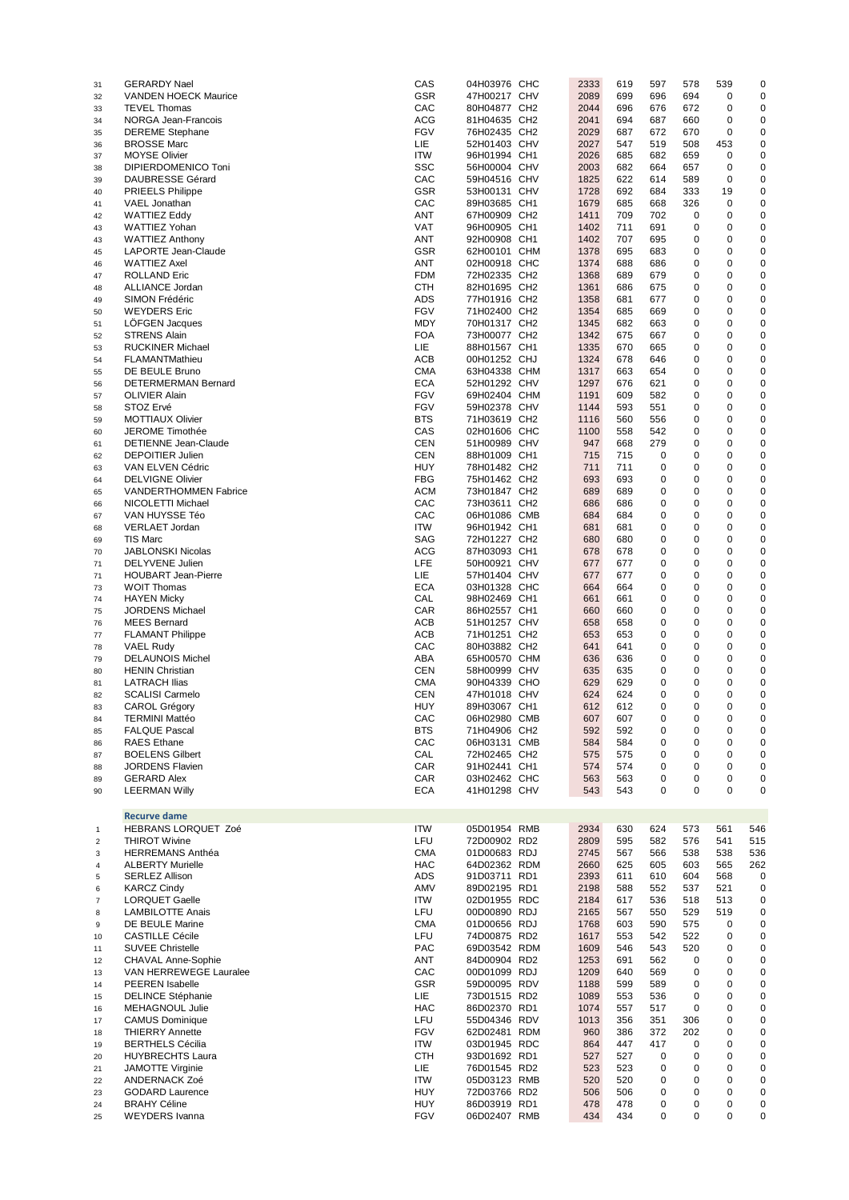| 31             | <b>GERARDY Nael</b>          | CAS        | 04H03976 CHC | 2333 | 619 | 597      | 578         | 539         | 0   |
|----------------|------------------------------|------------|--------------|------|-----|----------|-------------|-------------|-----|
| 32             | <b>VANDEN HOECK Maurice</b>  | GSR        | 47H00217 CHV | 2089 | 699 | 696      | 694         | 0           | 0   |
| 33             | <b>TEVEL Thomas</b>          | CAC        | 80H04877 CH2 | 2044 | 696 | 676      | 672         | 0           | 0   |
|                | NORGA Jean-Francois          | <b>ACG</b> |              | 2041 | 694 | 687      | 660         | 0           | 0   |
| 34             |                              |            | 81H04635 CH2 |      |     |          |             |             |     |
| 35             | <b>DEREME</b> Stephane       | <b>FGV</b> | 76H02435 CH2 | 2029 | 687 | 672      | 670         | 0           | 0   |
| 36             | <b>BROSSE Marc</b>           | LIE.       | 52H01403 CHV | 2027 | 547 | 519      | 508         | 453         | 0   |
| 37             | <b>MOYSE Olivier</b>         | <b>ITW</b> | 96H01994 CH1 | 2026 | 685 | 682      | 659         | $\mathbf 0$ | 0   |
| 38             | DIPIERDOMENICO Toni          | <b>SSC</b> | 56H00004 CHV | 2003 | 682 | 664      | 657         | 0           | 0   |
|                | <b>DAUBRESSE Gérard</b>      | CAC        | 59H04516 CHV | 1825 | 622 | 614      | 589         | $\mathbf 0$ | 0   |
| 39             |                              |            |              |      |     |          |             |             |     |
| 40             | <b>PRIEELS Philippe</b>      | <b>GSR</b> | 53H00131 CHV | 1728 | 692 | 684      | 333         | 19          | 0   |
| 41             | VAEL Jonathan                | CAC        | 89H03685 CH1 | 1679 | 685 | 668      | 326         | $\mathbf 0$ | 0   |
| 42             | <b>WATTIEZ Eddy</b>          | <b>ANT</b> | 67H00909 CH2 | 1411 | 709 | 702      | 0           | 0           | 0   |
| 43             | <b>WATTIEZ Yohan</b>         | VAT        | 96H00905 CH1 | 1402 | 711 | 691      | 0           | 0           | 0   |
|                |                              |            |              |      |     |          |             |             |     |
| 43             | <b>WATTIEZ Anthony</b>       | <b>ANT</b> | 92H00908 CH1 | 1402 | 707 | 695      | 0           | $\mathbf 0$ | 0   |
| 45             | LAPORTE Jean-Claude          | <b>GSR</b> | 62H00101 CHM | 1378 | 695 | 683      | 0           | 0           | 0   |
| 46             | <b>WATTIEZ Axel</b>          | <b>ANT</b> | 02H00918 CHC | 1374 | 688 | 686      | 0           | $\mathbf 0$ | 0   |
| 47             | <b>ROLLAND Eric</b>          | <b>FDM</b> | 72H02335 CH2 | 1368 | 689 | 679      | 0           | 0           | 0   |
|                |                              |            | 82H01695 CH2 |      |     |          |             |             |     |
| 48             | ALLIANCE Jordan              | <b>CTH</b> |              | 1361 | 686 | 675      | 0           | 0           | 0   |
| 49             | SIMON Frédéric               | <b>ADS</b> | 77H01916 CH2 | 1358 | 681 | 677      | 0           | $\mathbf 0$ | 0   |
| 50             | <b>WEYDERS</b> Eric          | <b>FGV</b> | 71H02400 CH2 | 1354 | 685 | 669      | 0           | 0           | 0   |
| 51             | <b>LOFGEN Jacques</b>        | <b>MDY</b> | 70H01317 CH2 | 1345 | 682 | 663      | 0           | $\mathbf 0$ | 0   |
|                | <b>STRENS Alain</b>          | <b>FOA</b> | 73H00077 CH2 | 1342 | 675 | 667      | 0           | 0           | 0   |
| 52             |                              |            |              |      |     |          |             |             |     |
| 53             | <b>RUCKINER Michael</b>      | LIE.       | 88H01567 CH1 | 1335 | 670 | 665      | 0           | 0           | 0   |
| 54             | FLAMANTMathieu               | <b>ACB</b> | 00H01252 CHJ | 1324 | 678 | 646      | 0           | $\mathbf 0$ | 0   |
| 55             | DE BEULE Bruno               | <b>CMA</b> | 63H04338 CHM | 1317 | 663 | 654      | 0           | 0           | 0   |
| 56             | DETERMERMAN Bernard          | <b>ECA</b> | 52H01292 CHV | 1297 | 676 | 621      | 0           | $\mathbf 0$ | 0   |
|                |                              |            |              |      |     |          |             |             |     |
| 57             | <b>OLIVIER Alain</b>         | <b>FGV</b> | 69H02404 CHM | 1191 | 609 | 582      | 0           | $\mathbf 0$ | 0   |
| 58             | STOZ Ervé                    | <b>FGV</b> | 59H02378 CHV | 1144 | 593 | 551      | 0           | 0           | 0   |
| 59             | <b>MOTTIAUX Olivier</b>      | <b>BTS</b> | 71H03619 CH2 | 1116 | 560 | 556      | 0           | $\mathbf 0$ | 0   |
| 60             | <b>JEROME Timothée</b>       | CAS        | 02H01606 CHC | 1100 | 558 | 542      | 0           | 0           | 0   |
|                | <b>DETIENNE Jean-Claude</b>  | <b>CEN</b> |              |      |     | 279      | 0           | $\mathbf 0$ |     |
| 61             |                              |            | 51H00989 CHV | 947  | 668 |          |             |             | 0   |
| 62             | <b>DEPOITIER Julien</b>      | <b>CEN</b> | 88H01009 CH1 | 715  | 715 | 0        | 0           | $\mathbf 0$ | 0   |
| 63             | VAN ELVEN Cédric             | <b>HUY</b> | 78H01482 CH2 | 711  | 711 | 0        | 0           | 0           | 0   |
| 64             | <b>DELVIGNE Olivier</b>      | <b>FBG</b> | 75H01462 CH2 | 693  | 693 | 0        | 0           | $\mathbf 0$ | 0   |
|                | <b>VANDERTHOMMEN Fabrice</b> | <b>ACM</b> | 73H01847 CH2 | 689  | 689 | 0        | 0           | 0           | 0   |
| 65             |                              |            |              |      |     |          |             |             |     |
| 66             | NICOLETTI Michael            | CAC        | 73H03611 CH2 | 686  | 686 | 0        | 0           | $\mathbf 0$ | 0   |
| 67             | VAN HUYSSE Téo               | CAC        | 06H01086 CMB | 684  | 684 | 0        | 0           | $\mathbf 0$ | 0   |
| 68             | VERLAET Jordan               | <b>ITW</b> | 96H01942 CH1 | 681  | 681 | 0        | 0           | 0           | 0   |
| 69             | <b>TIS Marc</b>              | <b>SAG</b> | 72H01227 CH2 | 680  | 680 | 0        | 0           | $\mathbf 0$ | 0   |
|                |                              |            |              |      |     |          |             |             |     |
| 70             | <b>JABLONSKI Nicolas</b>     | <b>ACG</b> | 87H03093 CH1 | 678  | 678 | 0        | 0           | 0           | 0   |
| 71             | <b>DELYVENE Julien</b>       | LFE        | 50H00921 CHV | 677  | 677 | 0        | $\mathbf 0$ | $\mathbf 0$ | 0   |
| 71             | <b>HOUBART Jean-Pierre</b>   | LIE.       | 57H01404 CHV | 677  | 677 | 0        | 0           | $\mathbf 0$ | 0   |
| 73             | <b>WOIT Thomas</b>           | <b>ECA</b> | 03H01328 CHC | 664  | 664 | 0        | 0           | 0           | 0   |
|                |                              |            |              |      |     |          |             |             |     |
| 74             | <b>HAYEN Micky</b>           | CAL        | 98H02469 CH1 | 661  | 661 | 0        | 0           | 0           | 0   |
| 75             | <b>JORDENS Michael</b>       | CAR        | 86H02557 CH1 | 660  | 660 | 0        | 0           | 0           | 0   |
| 76             | <b>MEES Bernard</b>          | <b>ACB</b> | 51H01257 CHV | 658  | 658 | 0        | 0           | $\mathbf 0$ | 0   |
| 77             | <b>FLAMANT Philippe</b>      | <b>ACB</b> | 71H01251 CH2 | 653  | 653 | 0        | 0           | $\mathbf 0$ | 0   |
|                |                              |            |              |      |     |          |             |             |     |
| 78             | <b>VAEL Rudy</b>             | CAC        | 80H03882 CH2 | 641  | 641 | 0        | 0           | 0           | 0   |
| 79             | <b>DELAUNOIS Michel</b>      | ABA        | 65H00570 CHM | 636  | 636 | 0        | 0           | 0           | 0   |
| 80             | <b>HENIN Christian</b>       | <b>CEN</b> | 58H00999 CHV | 635  | 635 | 0        | 0           | 0           | 0   |
| 81             | <b>LATRACH Ilias</b>         | <b>CMA</b> | 90H04339 CHO | 629  | 629 | 0        | 0           | 0           | 0   |
|                | <b>SCALISI Carmelo</b>       | <b>CEN</b> | 47H01018 CHV | 624  | 624 | 0        | 0           | 0           | 0   |
| 82             |                              |            |              |      |     |          |             |             |     |
| 83             | <b>CAROL Grégory</b>         | <b>HUY</b> | 89H03067 CH1 | 612  | 612 | 0        | $\mathbf 0$ | 0           | 0   |
| 84             | <b>TERMINI Mattéo</b>        | CAC        | 06H02980 CMB | 607  | 607 | $\Omega$ | $\Omega$    | $\Omega$    | 0   |
| 85             | <b>FALQUE Pascal</b>         | <b>BTS</b> | 71H04906 CH2 | 592  | 592 | 0        | 0           | 0           | 0   |
| 86             | <b>RAES</b> Ethane           | CAC        | 06H03131 CMB | 584  | 584 | 0        | 0           | 0           | 0   |
|                |                              |            |              |      |     |          |             |             |     |
| 87             | <b>BOELENS Gilbert</b>       | CAL        | 72H02465 CH2 | 575  | 575 | 0        | 0           | 0           | 0   |
| 88             | <b>JORDENS Flavien</b>       | CAR        | 91H02441 CH1 | 574  | 574 | 0        | 0           | 0           | 0   |
| 89             | <b>GERARD Alex</b>           | CAR        | 03H02462 CHC | 563  | 563 | 0        | 0           | 0           | 0   |
| 90             | <b>LEERMAN Willy</b>         | <b>ECA</b> | 41H01298 CHV | 543  | 543 | 0        | 0           | 0           | 0   |
|                |                              |            |              |      |     |          |             |             |     |
|                |                              |            |              |      |     |          |             |             |     |
|                | <b>Recurve dame</b>          |            |              |      |     |          |             |             |     |
| $\mathbf{1}$   | HEBRANS LORQUET Zoé          | <b>ITW</b> | 05D01954 RMB | 2934 | 630 | 624      | 573         | 561         | 546 |
| $\overline{c}$ | <b>THIROT Wivine</b>         | LFU        | 72D00902 RD2 | 2809 | 595 | 582      | 576         | 541         | 515 |
|                |                              |            | 01D00683 RDJ |      |     |          |             |             |     |
| 3              | <b>HERREMANS Anthéa</b>      | <b>CMA</b> |              | 2745 | 567 | 566      | 538         | 538         | 536 |
| 4              | <b>ALBERTY Murielle</b>      | <b>HAC</b> | 64D02362 RDM | 2660 | 625 | 605      | 603         | 565         | 262 |
| 5              | <b>SERLEZ Allison</b>        | ADS        | 91D03711 RD1 | 2393 | 611 | 610      | 604         | 568         | 0   |
| 6              | <b>KARCZ Cindy</b>           | AMV        | 89D02195 RD1 | 2198 | 588 | 552      | 537         | 521         | 0   |
|                | <b>LORQUET Gaelle</b>        | ITW        | 02D01955 RDC | 2184 | 617 |          | 518         | 513         | 0   |
| $\overline{7}$ |                              |            |              |      |     | 536      |             |             |     |
| 8              | <b>LAMBILOTTE Anais</b>      | LFU        | 00D00890 RDJ | 2165 | 567 | 550      | 529         | 519         | 0   |
| 9              | DE BEULE Marine              | <b>CMA</b> | 01D00656 RDJ | 1768 | 603 | 590      | 575         | 0           | 0   |
| 10             | <b>CASTILLE Cécile</b>       | LFU        | 74D00875 RD2 | 1617 | 553 | 542      | 522         | 0           | 0   |
| 11             | <b>SUVEE Christelle</b>      | <b>PAC</b> | 69D03542 RDM | 1609 | 546 | 543      | 520         | 0           | 0   |
|                |                              |            |              |      |     |          |             |             |     |
| 12             | CHAVAL Anne-Sophie           | ANT        | 84D00904 RD2 | 1253 | 691 | 562      | 0           | 0           | 0   |
| 13             | VAN HERREWEGE Lauralee       | CAC        | 00D01099 RDJ | 1209 | 640 | 569      | 0           | 0           | 0   |
| 14             | <b>PEEREN</b> Isabelle       | <b>GSR</b> | 59D00095 RDV | 1188 | 599 | 589      | 0           | 0           | 0   |
| 15             | <b>DELINCE Stéphanie</b>     | LIE        | 73D01515 RD2 | 1089 | 553 | 536      | 0           | 0           | 0   |
|                | <b>MEHAGNOUL Julie</b>       | <b>HAC</b> | 86D02370 RD1 | 1074 | 557 | 517      | 0           | $\mathbf 0$ | 0   |
| 16             |                              |            |              |      |     |          |             |             |     |
| 17             | <b>CAMUS Dominique</b>       | LFU        | 55D04346 RDV | 1013 | 356 | 351      | 306         | 0           | 0   |
| 18             | <b>THIERRY Annette</b>       | <b>FGV</b> | 62D02481 RDM | 960  | 386 | 372      | 202         | 0           | 0   |
| 19             | <b>BERTHELS Cécilia</b>      | ITW        | 03D01945 RDC | 864  | 447 | 417      | 0           | 0           | 0   |
| 20             | <b>HUYBRECHTS Laura</b>      | <b>CTH</b> | 93D01692 RD1 | 527  | 527 | 0        | 0           | 0           | 0   |
|                |                              |            |              |      |     |          |             |             |     |
| 21             | JAMOTTE Virginie             | LIE        | 76D01545 RD2 | 523  | 523 | 0        | 0           | 0           | 0   |
| 22             | ANDERNACK Zoé                | ITW        | 05D03123 RMB | 520  | 520 | 0        | 0           | 0           | 0   |
| 23             | <b>GODARD Laurence</b>       | <b>HUY</b> | 72D03766 RD2 | 506  | 506 | 0        | 0           | 0           | 0   |
| 24             | <b>BRAHY Céline</b>          | <b>HUY</b> | 86D03919 RD1 | 478  | 478 | 0        | 0           | 0           | 0   |
|                |                              |            |              |      |     |          |             |             |     |
| 25             | <b>WEYDERS</b> Ivanna        | <b>FGV</b> | 06D02407 RMB | 434  | 434 | 0        | $\mathbf 0$ | 0           | 0   |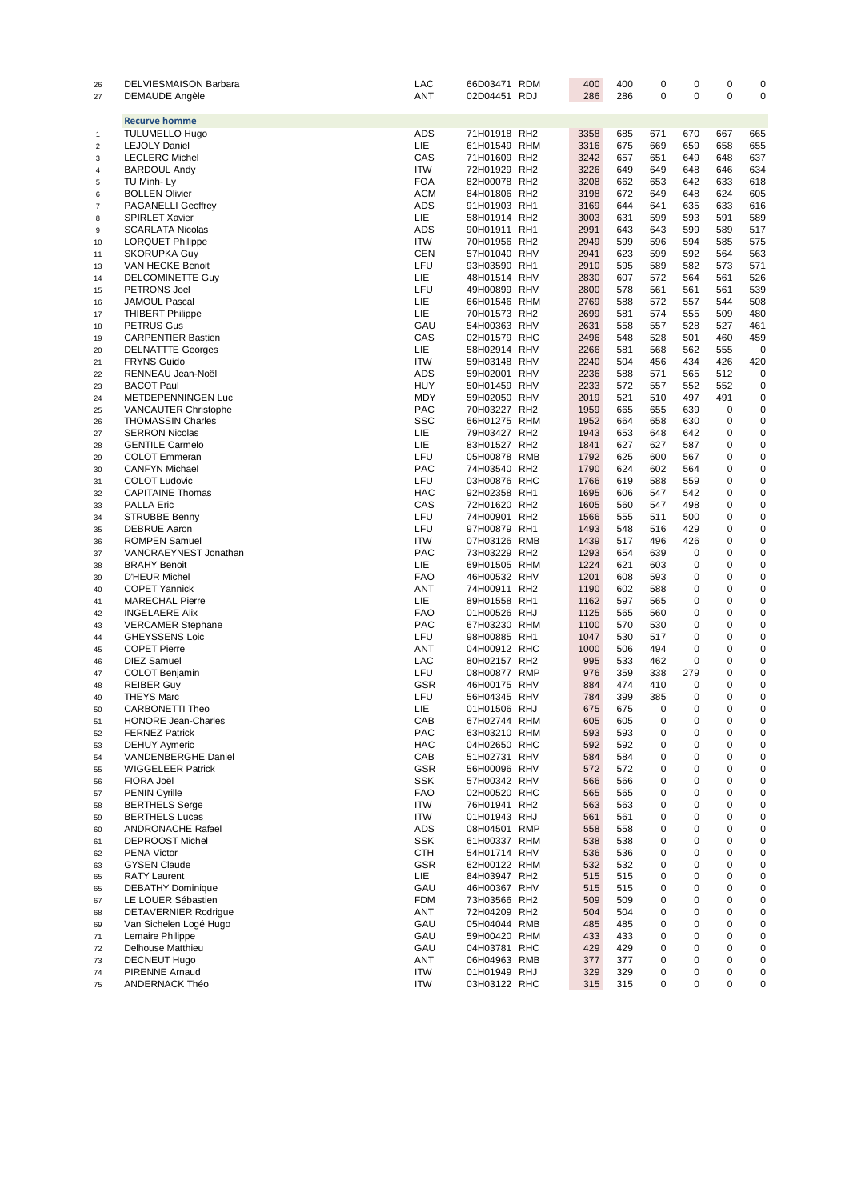| 26               | DELVIESMAISON Barbara                           | LAC               | 66D03471 RDM                 | 400          | 400        | 0                | 0          | 0           | 0                |
|------------------|-------------------------------------------------|-------------------|------------------------------|--------------|------------|------------------|------------|-------------|------------------|
| 27               | <b>DEMAUDE Angèle</b>                           | <b>ANT</b>        | 02D04451 RDJ                 | 286          | 286        | $\mathbf 0$      | 0          | $\mathbf 0$ | 0                |
|                  |                                                 |                   |                              |              |            |                  |            |             |                  |
|                  | <b>Recurve homme</b>                            |                   |                              |              |            |                  |            |             |                  |
| 1                | <b>TULUMELLO Hugo</b>                           | ADS               | 71H01918 RH2                 | 3358         | 685        | 671              | 670        | 667         | 665              |
| $\boldsymbol{2}$ | <b>LEJOLY Daniel</b>                            | LIE.              | 61H01549 RHM                 | 3316         | 675        | 669              | 659        | 658         | 655              |
| 3                | <b>LECLERC Michel</b>                           | CAS               | 71H01609 RH2                 | 3242         | 657        | 651              | 649        | 648         | 637              |
| 4                | <b>BARDOUL Andy</b>                             | <b>ITW</b>        | 72H01929 RH2                 | 3226         | 649        | 649              | 648        | 646         | 634              |
| 5                | TU Minh- Ly                                     | <b>FOA</b>        | 82H00078 RH2                 | 3208         | 662        | 653              | 642        | 633         | 618              |
| 6                | <b>BOLLEN Olivier</b>                           | <b>ACM</b>        | 84H01806 RH2                 | 3198         | 672        | 649              | 648        | 624         | 605              |
| $\boldsymbol{7}$ | <b>PAGANELLI Geoffrey</b>                       | ADS               | 91H01903 RH1                 | 3169         | 644        | 641              | 635        | 633         | 616              |
| 8                | <b>SPIRLET Xavier</b>                           | LIE.              | 58H01914 RH2                 | 3003         | 631        | 599              | 593        | 591         | 589              |
| 9                | <b>SCARLATA Nicolas</b>                         | ADS               | 90H01911 RH1                 | 2991         | 643        | 643              | 599        | 589         | 517              |
| 10               | <b>LORQUET Philippe</b>                         | <b>ITW</b>        | 70H01956 RH2                 | 2949         | 599        | 596              | 594        | 585         | 575              |
| 11               | <b>SKORUPKA Guy</b>                             | <b>CEN</b>        | 57H01040 RHV                 | 2941         | 623        | 599              | 592        | 564         | 563              |
| 13               | VAN HECKE Benoit                                | LFU               | 93H03590 RH1                 | 2910         | 595        | 589              | 582        | 573         | 571              |
| 14               | DELCOMINETTE Guy                                | LIE.<br>LFU       | 48H01514 RHV                 | 2830         | 607        | 572<br>561       | 564        | 561         | 526<br>539       |
| 15               | PETRONS Joel                                    |                   | 49H00899 RHV                 | 2800         | 578        |                  | 561        | 561<br>544  |                  |
| 16               | <b>JAMOUL Pascal</b>                            | LIE.<br>LIE.      | 66H01546 RHM                 | 2769<br>2699 | 588<br>581 | 572<br>574       | 557<br>555 | 509         | 508<br>480       |
| 17               | <b>THIBERT Philippe</b><br><b>PETRUS Gus</b>    | GAU               | 70H01573 RH2<br>54H00363 RHV | 2631         | 558        | 557              | 528        | 527         | 461              |
| 18               | <b>CARPENTIER Bastien</b>                       | CAS               | 02H01579 RHC                 | 2496         | 548        | 528              | 501        | 460         | 459              |
| 19<br>20         | <b>DELNATTTE Georges</b>                        | LIE.              | 58H02914 RHV                 | 2266         | 581        | 568              | 562        | 555         | 0                |
| 21               | <b>FRYNS Guido</b>                              | <b>ITW</b>        | 59H03148 RHV                 | 2240         | 504        | 456              | 434        | 426         | 420              |
| 22               | RENNEAU Jean-Noël                               | ADS               | 59H02001 RHV                 | 2236         | 588        | 571              | 565        | 512         | 0                |
| 23               | <b>BACOT Paul</b>                               | HUY               | 50H01459 RHV                 | 2233         | 572        | 557              | 552        | 552         | 0                |
| 24               | METDEPENNINGEN Luc                              | <b>MDY</b>        | 59H02050 RHV                 | 2019         | 521        | 510              | 497        | 491         | 0                |
| 25               | <b>VANCAUTER Christophe</b>                     | <b>PAC</b>        | 70H03227 RH2                 | 1959         | 665        | 655              | 639        | $\mathbf 0$ | 0                |
| 26               | <b>THOMASSIN Charles</b>                        | <b>SSC</b>        | 66H01275 RHM                 | 1952         | 664        | 658              | 630        | $\mathbf 0$ | 0                |
| 27               | <b>SERRON Nicolas</b>                           | LIE.              | 79H03427 RH2                 | 1943         | 653        | 648              | 642        | 0           | 0                |
| 28               | <b>GENTILE Carmelo</b>                          | LIE.              | 83H01527 RH2                 | 1841         | 627        | 627              | 587        | 0           | 0                |
| 29               | <b>COLOT</b> Emmeran                            | LFU               | 05H00878 RMB                 | 1792         | 625        | 600              | 567        | 0           | 0                |
| 30               | <b>CANFYN Michael</b>                           | <b>PAC</b>        | 74H03540 RH2                 | 1790         | 624        | 602              | 564        | 0           | 0                |
| 31               | <b>COLOT Ludovic</b>                            | LFU               | 03H00876 RHC                 | 1766         | 619        | 588              | 559        | 0           | 0                |
| 32               | <b>CAPITAINE Thomas</b>                         | <b>HAC</b>        | 92H02358 RH1                 | 1695         | 606        | 547              | 542        | 0           | 0                |
| 33               | <b>PALLA Eric</b>                               | CAS               | 72H01620 RH2                 | 1605         | 560        | 547              | 498        | 0           | 0                |
| 34               | STRUBBE Benny                                   | LFU               | 74H00901 RH2                 | 1566         | 555        | 511              | 500        | 0           | 0                |
| 35               | <b>DEBRUE Aaron</b>                             | LFU               | 97H00879 RH1                 | 1493         | 548        | 516              | 429        | 0           | 0                |
| 36               | <b>ROMPEN Samuel</b>                            | <b>ITW</b>        | 07H03126 RMB                 | 1439         | 517        | 496              | 426        | 0           | 0                |
| 37               | VANCRAEYNEST Jonathan                           | <b>PAC</b>        | 73H03229 RH2                 | 1293         | 654        | 639              | 0          | 0           | 0                |
| 38               | <b>BRAHY Benoit</b>                             | LIE.              | 69H01505 RHM                 | 1224         | 621        | 603              | 0          | 0           | 0                |
| 39               | <b>D'HEUR Michel</b>                            | <b>FAO</b>        | 46H00532 RHV                 | 1201         | 608        | 593              | 0          | 0           | 0                |
| 40               | <b>COPET Yannick</b>                            | ANT               | 74H00911 RH2                 | 1190         | 602        | 588              | 0          | 0           | 0                |
| 41               | <b>MARECHAL Pierre</b>                          | LIE.              | 89H01558 RH1                 | 1162         | 597        | 565              | 0          | 0           | 0                |
| 42               | <b>INGELAERE Alix</b>                           | <b>FAO</b>        | 01H00526 RHJ                 | 1125         | 565        | 560              | 0          | 0           | 0                |
| 43               | <b>VERCAMER Stephane</b>                        | <b>PAC</b>        | 67H03230 RHM                 | 1100         | 570        | 530              | 0          | 0           | 0                |
| 44               | <b>GHEYSSENS Loic</b>                           | LFU               | 98H00885 RH1                 | 1047         | 530        | 517              | 0          | 0           | 0                |
| 45               | <b>COPET Pierre</b>                             | ANT               | 04H00912 RHC                 | 1000         | 506        | 494              | 0          | 0           | 0                |
| 46               | <b>DIEZ Samuel</b>                              | LAC               | 80H02157 RH2                 | 995          | 533        | 462              | 0          | 0           | 0                |
| 47               | <b>COLOT Benjamin</b>                           | LFU               | 08H00877 RMP                 | 976          | 359        | 338              | 279        | 0           | 0                |
| 48               | <b>REIBER Guy</b>                               | GSR               | 46H00175 RHV                 | 884          | 474        | 410              | 0          | 0           | 0                |
| 49               | <b>THEYS Marc</b>                               | LFU               | 56H04345 RHV                 | 784          | 399        | 385              | 0          | 0           | 0                |
| 50               | CARBONETTI Theo                                 | LIE.              | 01H01506 RHJ                 | 675          | 675        | $\mathbf 0$      | 0          | 0           | 0                |
| 51               | <b>HONORE Jean-Charles</b>                      | CAB               | 67H02744 RHM                 | 605          | 605        | 0                | 0          | 0           | 0                |
| 52               | <b>FERNEZ Patrick</b>                           | PAC               | 63H03210 RHM                 | 593          | 593        | 0                | 0          | 0           | 0                |
| 53               | <b>DEHUY Aymeric</b>                            | <b>HAC</b>        | 04H02650 RHC                 | 592          | 592        | 0                | 0          | 0           | $\mathbf 0$      |
| 54               | VANDENBERGHE Daniel                             | CAB               | 51H02731 RHV                 | 584          | 584        | $\mathbf 0$      | 0          | 0           | 0                |
| 55               | <b>WIGGELEER Patrick</b>                        | <b>GSR</b>        | 56H00096 RHV                 | 572          | 572        | $\mathbf 0$      | 0          | 0           | 0                |
| 56               | FIORA Joël                                      | <b>SSK</b>        | 57H00342 RHV                 | 566          | 566        | $\Omega$         | 0          | 0           | 0                |
| 57               | <b>PENIN Cyrille</b>                            | <b>FAO</b>        | 02H00520 RHC                 | 565          | 565        | $\mathbf 0$      | 0          | 0           | 0                |
| 58               | <b>BERTHELS Serge</b>                           | <b>ITW</b>        | 76H01941 RH2                 | 563          | 563        | $\mathbf 0$      | 0          | 0           | 0                |
| 59               | <b>BERTHELS Lucas</b>                           | <b>ITW</b>        | 01H01943 RHJ                 | 561          | 561        | $\mathbf 0$      | 0          | 0           | 0                |
| 60               | ANDRONACHE Rafael                               | ADS               | 08H04501 RMP                 | 558          | 558        | $\mathbf 0$      | 0          | 0           | 0                |
| 61               | <b>DEPROOST Michel</b>                          | <b>SSK</b>        | 61H00337 RHM                 | 538          | 538        | 0<br>$\mathbf 0$ | 0          | 0<br>0      | 0                |
| 62               | <b>PENA Victor</b>                              | <b>CTH</b>        | 54H01714 RHV                 | 536          | 536        |                  | 0          |             | 0                |
| 63               | <b>GYSEN Claude</b>                             | <b>GSR</b><br>LIE | 62H00122 RHM                 | 532          | 532        | $\mathbf 0$<br>0 | 0<br>0     | 0<br>0      | $\mathbf 0$<br>0 |
| 65               | <b>RATY Laurent</b><br><b>DEBATHY Dominique</b> | GAU               | 84H03947 RH2<br>46H00367 RHV | 515<br>515   | 515<br>515 | $\mathbf 0$      | 0          | 0           | 0                |
| 65               | LE LOUER Sébastien                              | <b>FDM</b>        | 73H03566 RH2                 | 509          | 509        | $\Omega$         | $\Omega$   | 0           | 0                |
| 67               | <b>DETAVERNIER Rodrigue</b>                     | ANT               | 72H04209 RH2                 | 504          | 504        | $\mathbf 0$      | 0          | $\mathbf 0$ | $\mathbf 0$      |
| 68<br>69         | Van Sichelen Logé Hugo                          | GAU               | 05H04044 RMB                 | 485          | 485        | $\mathbf 0$      | 0          | 0           | $\mathbf 0$      |
| 71               | Lemaire Philippe                                | GAU               | 59H00420 RHM                 | 433          | 433        | $\mathbf 0$      | 0          | 0           | 0                |
| 72               | <b>Delhouse Matthieu</b>                        | GAU               | 04H03781 RHC                 | 429          | 429        | $\mathbf 0$      | 0          | 0           | 0                |
| 73               | <b>DECNEUT Hugo</b>                             | ANT               | 06H04963 RMB                 | 377          | 377        | 0                | 0          | 0           | $\mathbf 0$      |
| 74               | PIRENNE Arnaud                                  | <b>ITW</b>        | 01H01949 RHJ                 | 329          | 329        | $\mathbf 0$      | 0          | 0           | 0                |
| 75               | ANDERNACK Théo                                  | <b>ITW</b>        | 03H03122 RHC                 | 315          | 315        | $\Omega$         | $\Omega$   | 0           | 0                |
|                  |                                                 |                   |                              |              |            |                  |            |             |                  |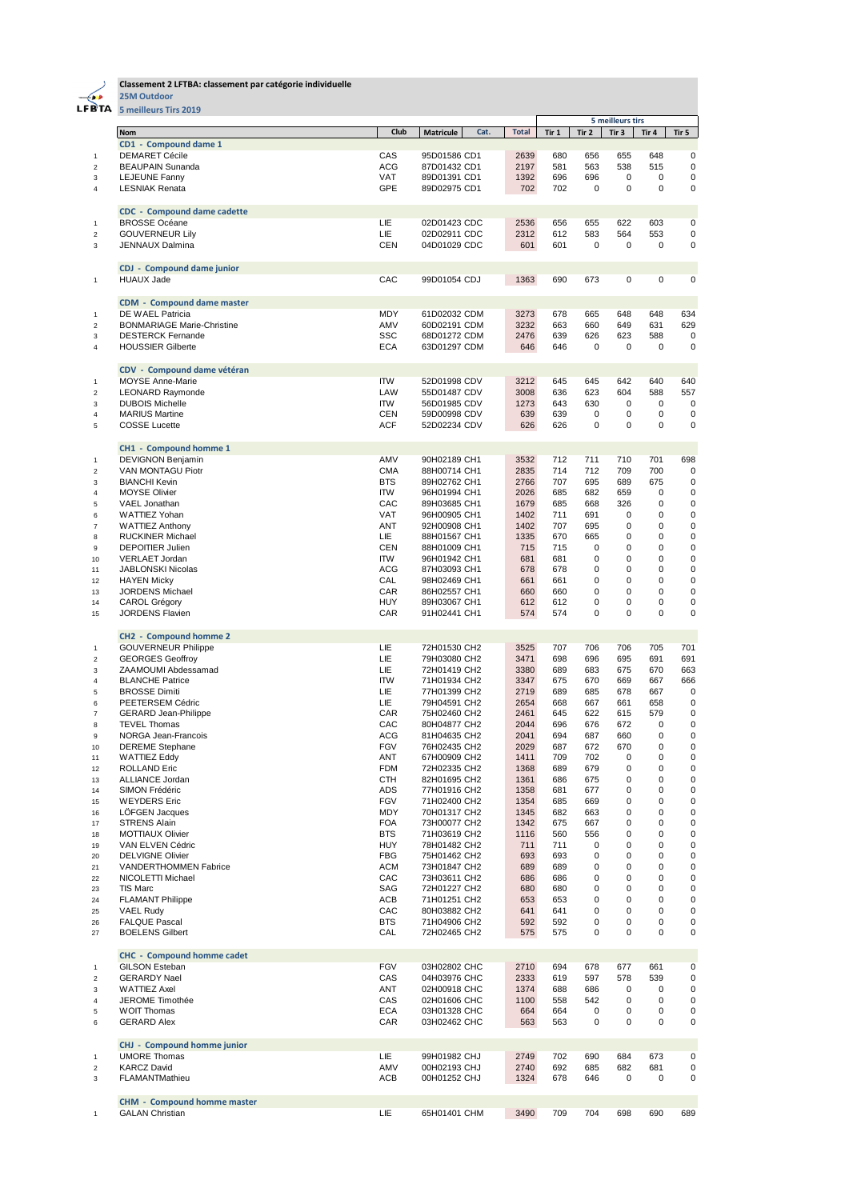

## **Classement 2 LFTBA: classement par catégorie individuelle**

**25M Outdoor**

| FBTA                         | 5 meilleurs Tirs 2019                                  |                          |                              |      |              |            |             |                  |             |             |
|------------------------------|--------------------------------------------------------|--------------------------|------------------------------|------|--------------|------------|-------------|------------------|-------------|-------------|
|                              |                                                        |                          |                              |      |              |            |             | 5 meilleurs tirs |             |             |
|                              | <b>Nom</b>                                             | Club                     | <b>Matricule</b>             | Cat. | <b>Total</b> | Tir 1      | Tir 2       | Tir 3            | Tir 4       | Tir 5       |
|                              | CD1 - Compound dame 1                                  |                          |                              |      |              |            |             |                  |             |             |
| 1                            | <b>DEMARET Cécile</b>                                  | CAS                      | 95D01586 CD1                 |      | 2639         | 680        | 656         | 655              | 648         | 0           |
| $\overline{2}$               | <b>BEAUPAIN Sunanda</b>                                | <b>ACG</b>               | 87D01432 CD1                 |      | 2197         | 581        | 563         | 538              | 515         | 0           |
| 3                            | LEJEUNE Fanny                                          | VAT                      | 89D01391 CD1                 |      | 1392         | 696        | 696         | 0                | 0           | 0           |
| 4                            | <b>LESNIAK Renata</b>                                  | GPE                      | 89D02975 CD1                 |      | 702          | 702        | $\mathbf 0$ | $\mathbf 0$      | 0           | 0           |
|                              | <b>CDC</b> - Compound dame cadette                     |                          |                              |      |              |            |             |                  |             |             |
| $\mathbf{1}$                 | <b>BROSSE Océane</b>                                   | LIE                      | 02D01423 CDC                 |      | 2536         | 656        | 655         | 622              | 603         | 0           |
| $\overline{\mathbf{c}}$      | <b>GOUVERNEUR Lily</b>                                 | <b>LIE</b>               | 02D02911 CDC                 |      | 2312         | 612        | 583         | 564              | 553         | 0           |
| 3                            | JENNAUX Dalmina                                        | <b>CEN</b>               | 04D01029 CDC                 |      | 601          | 601        | 0           | 0                | 0           | 0           |
|                              |                                                        |                          |                              |      |              |            |             |                  |             |             |
| 1                            | <b>CDJ</b> - Compound dame junior<br><b>HUAUX Jade</b> | CAC                      | 99D01054 CDJ                 |      | 1363         | 690        | 673         | 0                | 0           | $\mathbf 0$ |
|                              |                                                        |                          |                              |      |              |            |             |                  |             |             |
|                              | <b>CDM - Compound dame master</b>                      |                          |                              |      |              |            |             |                  |             |             |
| 1                            | DE WAEL Patricia                                       | MDY                      | 61D02032 CDM                 |      | 3273         | 678        | 665         | 648              | 648         | 634         |
| $\overline{2}$               | <b>BONMARIAGE Marie-Christine</b>                      | AMV                      | 60D02191 CDM                 |      | 3232         | 663        | 660         | 649              | 631         | 629         |
| 3                            | <b>DESTERCK Fernande</b>                               | <b>SSC</b>               | 68D01272 CDM                 |      | 2476         | 639        | 626         | 623              | 588         | 0           |
| $\overline{4}$               | <b>HOUSSIER Gilberte</b>                               | <b>ECA</b>               | 63D01297 CDM                 |      | 646          | 646        | $\mathbf 0$ | 0                | 0           | 0           |
|                              | CDV - Compound dame vétéran                            |                          |                              |      |              |            |             |                  |             |             |
| 1                            | <b>MOYSE Anne-Marie</b>                                | <b>ITW</b>               | 52D01998 CDV                 |      | 3212         | 645        | 645         | 642              | 640         | 640         |
| $\overline{\mathbf{c}}$      | <b>LEONARD Raymonde</b>                                | LAW                      | 55D01487 CDV                 |      | 3008         | 636        | 623         | 604              | 588         | 557         |
| 3                            | <b>DUBOIS Michelle</b>                                 | <b>ITW</b>               | 56D01985 CDV                 |      | 1273         | 643        | 630         | 0                | $\pmb{0}$   | 0           |
| 4                            | <b>MARIUS Martine</b>                                  | CEN                      | 59D00998 CDV                 |      | 639          | 639        | 0           | 0                | 0           | 0           |
| 5                            | <b>COSSE Lucette</b>                                   | <b>ACF</b>               | 52D02234 CDV                 |      | 626          | 626        | $\mathbf 0$ | 0                | $\mathbf 0$ | 0           |
|                              |                                                        |                          |                              |      |              |            |             |                  |             |             |
|                              | CH1 - Compound homme 1                                 |                          |                              |      |              |            |             |                  |             |             |
| 1                            | <b>DEVIGNON Benjamin</b><br><b>VAN MONTAGU Piotr</b>   | AMV                      | 90H02189 CH1                 |      | 3532         | 712        | 711         | 710              | 701         | 698         |
| $\overline{\mathbf{c}}$<br>3 | <b>BIANCHI Kevin</b>                                   | <b>CMA</b><br><b>BTS</b> | 88H00714 CH1<br>89H02762 CH1 |      | 2835<br>2766 | 714<br>707 | 712<br>695  | 709<br>689       | 700<br>675  | 0<br>0      |
| 4                            | <b>MOYSE Olivier</b>                                   | <b>ITW</b>               | 96H01994 CH1                 |      | 2026         | 685        | 682         | 659              | 0           | 0           |
| 5                            | VAEL Jonathan                                          | CAC                      | 89H03685 CH1                 |      | 1679         | 685        | 668         | 326              | 0           | 0           |
| 6                            | WATTIEZ Yohan                                          | VAT                      | 96H00905 CH1                 |      | 1402         | 711        | 691         | 0                | 0           | $\mathbf 0$ |
| 7                            | <b>WATTIEZ Anthony</b>                                 | ANT                      | 92H00908 CH1                 |      | 1402         | 707        | 695         | 0                | 0           | $\mathbf 0$ |
| 8                            | <b>RUCKINER Michael</b>                                | LIE                      | 88H01567 CH1                 |      | 1335         | 670        | 665         | 0                | 0           | $\mathbf 0$ |
| 9                            | <b>DEPOITIER Julien</b>                                | CEN                      | 88H01009 CH1                 |      | 715          | 715        | 0           | 0                | 0           | 0           |
| 10                           | VERLAET Jordan                                         | ITW                      | 96H01942 CH1                 |      | 681          | 681        | 0           | 0                | 0           | 0           |
| 11                           | JABLONSKI Nicolas                                      | ACG                      | 87H03093 CH1                 |      | 678          | 678        | 0           | 0                | 0           | 0           |
| 12                           | <b>HAYEN Micky</b>                                     | CAL                      | 98H02469 CH1                 |      | 661          | 661        | 0           | 0                | 0           | 0           |
| 13                           | JORDENS Michael                                        | CAR                      | 86H02557 CH1                 |      | 660          | 660        | 0           | 0                | 0           | 0           |
| 14                           | CAROL Grégory                                          | <b>HUY</b>               | 89H03067 CH1                 |      | 612          | 612        | 0           | 0                | 0           | $\mathbf 0$ |
| 15                           | <b>JORDENS Flavien</b>                                 | CAR                      | 91H02441 CH1                 |      | 574          | 574        | $\mathbf 0$ | 0                | 0           | $\mathbf 0$ |
|                              | CH2 - Compound homme 2                                 |                          |                              |      |              |            |             |                  |             |             |
| 1                            | <b>GOUVERNEUR Philippe</b>                             | LIE                      | 72H01530 CH2                 |      | 3525         | 707        | 706         | 706              | 705         | 701         |
| $\overline{2}$               | <b>GEORGES Geoffroy</b>                                | LIE                      | 79H03080 CH2                 |      | 3471         | 698        | 696         | 695              | 691         | 691         |
| 3                            | ZAAMOUMI Abdessamad                                    | LIE                      | 72H01419 CH2                 |      | 3380         | 689        | 683         | 675              | 670         | 663         |
| 4                            | <b>BLANCHE Patrice</b>                                 | <b>ITW</b>               | 71H01934 CH2                 |      | 3347         | 675        | 670         | 669              | 667         | 666         |
| 5                            | <b>BROSSE Dimiti</b>                                   | LIE                      | 77H01399 CH2                 |      | 2719         | 689        | 685         | 678              | 667         | 0           |
| 6                            | PEETERSEM Cédric                                       | LIE                      | 79H04591 CH2                 |      | 2654         | 668        | 667         | 661              | 658         | 0           |
| 7                            | <b>GERARD Jean-Philippe</b>                            | CAR                      | 75H02460 CH2                 |      | 2461         | 645        | 622         | 615              | 579         | 0           |
| 8                            | <b>TEVEL Thomas</b>                                    | CAC                      | 80H04877 CH2                 |      | 2044         | 696        | 676         | 672              | 0           | 0           |
| 9                            | NORGA Jean-Francois                                    | <b>ACG</b>               | 81H04635 CH2                 |      | 2041         | 694        | 687         | 660              | 0           | 0           |
| 10                           | <b>DEREME</b> Stephane                                 | FGV                      | 76H02435 CH2                 |      | 2029         | 687        | 672         | 670              | 0           | 0           |
| 11                           | <b>WATTIEZ Eddy</b>                                    | ANT                      | 67H00909 CH2                 |      | 1411         | 709        | 702         | 0                | 0           | $\pmb{0}$   |
| 12                           | <b>ROLLAND Eric</b><br>ALLIANCE Jordan                 | <b>FDM</b><br><b>CTH</b> | 72H02335 CH2<br>82H01695 CH2 |      | 1368<br>1361 | 689<br>686 | 679<br>675  | 0<br>0           | 0<br>0      | 0<br>0      |
| 13<br>14                     | SIMON Frédéric                                         | ADS                      | 77H01916 CH2                 |      | 1358         | 681        | 677         | 0                | 0           | 0           |
| 15                           | <b>WEYDERS Eric</b>                                    | FGV                      | 71H02400 CH2                 |      | 1354         | 685        | 669         | 0                | 0           | $\pmb{0}$   |
| 16                           | <b>LOFGEN Jacques</b>                                  | MDY                      | 70H01317 CH2                 |      | 1345         | 682        | 663         | 0                | 0           | 0           |
| 17                           | <b>STRENS Alain</b>                                    | <b>FOA</b>               | 73H00077 CH2                 |      | 1342         | 675        | 667         | 0                | 0           | 0           |
| 18                           | <b>MOTTIAUX Olivier</b>                                | <b>BTS</b>               | 71H03619 CH2                 |      | 1116         | 560        | 556         | 0                | 0           | 0           |
| 19                           | VAN ELVEN Cédric                                       | HUY                      | 78H01482 CH2                 |      | 711          | 711        | 0           | 0                | 0           | 0           |
| 20                           | <b>DELVIGNE Olivier</b>                                | FBG                      | 75H01462 CH2                 |      | 693          | 693        | 0           | 0                | 0           | 0           |
| 21                           | VANDERTHOMMEN Fabrice                                  | <b>ACM</b>               | 73H01847 CH2                 |      | 689          | 689        | 0           | 0                | 0           | 0           |
| 22                           | NICOLETTI Michael                                      | CAC                      | 73H03611 CH2                 |      | 686          | 686        | 0           | 0                | 0           | 0           |
| 23                           | <b>TIS Marc</b>                                        | SAG                      | 72H01227 CH2                 |      | 680          | 680        | 0           | 0                | 0           | 0           |
| 24                           | <b>FLAMANT Philippe</b>                                | ACB                      | 71H01251 CH2                 |      | 653          | 653        | 0           | 0                | 0           | 0           |
| 25                           | <b>VAEL Rudy</b>                                       | CAC                      | 80H03882 CH2                 |      | 641          | 641        | 0           | 0                | 0           | 0           |
| 26                           | <b>FALQUE Pascal</b>                                   | BTS                      | 71H04906 CH2                 |      | 592          | 592        | 0           | 0                | 0           | 0           |
| 27                           | <b>BOELENS Gilbert</b>                                 | CAL                      | 72H02465 CH2                 |      | 575          | 575        | 0           | 0                | 0           | 0           |
|                              | <b>CHC - Compound homme cadet</b>                      |                          |                              |      |              |            |             |                  |             |             |
| 1                            | <b>GILSON Esteban</b>                                  | FGV                      | 03H02802 CHC                 |      | 2710         | 694        | 678         | 677              | 661         | 0           |
| $\overline{\mathbf{c}}$      | <b>GERARDY Nael</b>                                    | CAS                      | 04H03976 CHC                 |      | 2333         | 619        | 597         | 578              | 539         | 0           |
| 3                            | <b>WATTIEZ Axel</b>                                    | ANT                      | 02H00918 CHC                 |      | 1374         | 688        | 686         | 0                | 0           | 0           |
| 4                            | JEROME Timothée                                        | CAS                      | 02H01606 CHC                 |      | 1100         | 558        | 542         | 0                | 0           | 0           |
| 5                            | <b>WOIT Thomas</b>                                     | ECA                      | 03H01328 CHC                 |      | 664          | 664        | 0           | 0                | 0           | 0           |
| 6                            | <b>GERARD Alex</b>                                     | CAR                      | 03H02462 CHC                 |      | 563          | 563        | 0           | 0                | 0           | 0           |
|                              | CHJ - Compound homme junior                            |                          |                              |      |              |            |             |                  |             |             |
| 1                            | <b>UMORE Thomas</b>                                    | LIE                      | 99H01982 CHJ                 |      | 2749         | 702        | 690         | 684              | 673         | 0           |
| $\overline{\mathbf{c}}$      | <b>KARCZ David</b>                                     | AMV                      | 00H02193 CHJ                 |      | 2740         | 692        | 685         | 682              | 681         | 0           |
| 3                            | FLAMANTMathieu                                         | ACB                      | 00H01252 CHJ                 |      | 1324         | 678        | 646         | 0                | 0           | 0           |
|                              |                                                        |                          |                              |      |              |            |             |                  |             |             |
|                              | <b>CHM - Compound homme master</b>                     |                          |                              |      |              |            |             |                  |             |             |
| $\mathbf{1}$                 | <b>GALAN Christian</b>                                 | LIE                      | 65H01401 CHM                 |      | 3490         | 709        | 704         | 698              | 690         | 689         |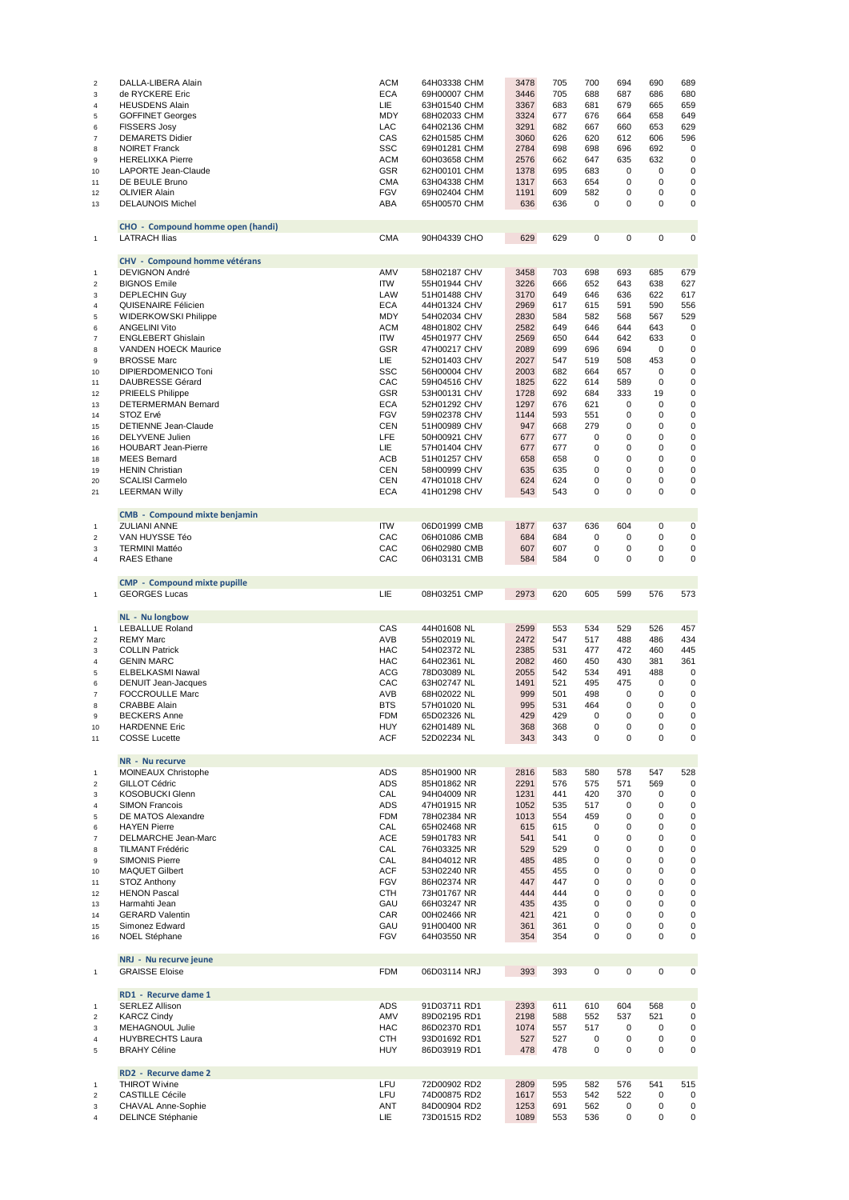| $\overline{\mathbf{c}}$        | DALLA-LIBERA Alain                             | <b>ACM</b>               | 64H03338 CHM                 | 3478         | 705        | 700         | 694                        | 690         | 689        |
|--------------------------------|------------------------------------------------|--------------------------|------------------------------|--------------|------------|-------------|----------------------------|-------------|------------|
| 3                              | de RYCKERE Eric                                | <b>ECA</b>               | 69H00007 CHM                 | 3446         | 705        | 688         | 687                        | 686         | 680        |
| $\overline{4}$                 | <b>HEUSDENS Alain</b>                          | <b>LIE</b>               | 63H01540 CHM                 | 3367         | 683        | 681         | 679                        | 665         | 659        |
| $\,$ 5                         | <b>GOFFINET Georges</b>                        | MDY                      | 68H02033 CHM                 | 3324         | 677        | 676         | 664                        | 658         | 649        |
| 6                              | <b>FISSERS Josy</b>                            | LAC                      | 64H02136 CHM                 | 3291         | 682        | 667         | 660                        | 653         | 629        |
| $\overline{7}$                 | <b>DEMARETS Didier</b>                         | CAS                      | 62H01585 CHM                 | 3060         | 626        | 620         | 612                        | 606         | 596        |
| 8                              | <b>NOIRET Franck</b>                           | <b>SSC</b><br><b>ACM</b> | 69H01281 CHM                 | 2784         | 698        | 698         | 696                        | 692         | 0          |
| 9<br>10                        | <b>HERELIXKA Pierre</b><br>LAPORTE Jean-Claude | <b>GSR</b>               | 60H03658 CHM                 | 2576<br>1378 | 662<br>695 | 647<br>683  | 635<br>$\mathbf 0$         | 632<br>0    | 0<br>0     |
|                                | DE BEULE Bruno                                 | <b>CMA</b>               | 62H00101 CHM<br>63H04338 CHM | 1317         | 663        | 654         | $\mathbf 0$                | 0           | 0          |
| 11<br>12                       | <b>OLIVIER Alain</b>                           | FGV                      | 69H02404 CHM                 | 1191         | 609        | 582         | 0                          | 0           | 0          |
| 13                             | <b>DELAUNOIS Michel</b>                        | ABA                      | 65H00570 CHM                 | 636          | 636        | $\mathbf 0$ | $\mathbf 0$                | 0           | 0          |
|                                |                                                |                          |                              |              |            |             |                            |             |            |
|                                | CHO - Compound homme open (handi)              |                          |                              |              |            |             |                            |             |            |
| $\mathbf{1}$                   | <b>LATRACH Ilias</b>                           | <b>CMA</b>               | 90H04339 CHO                 | 629          | 629        | 0           | $\mathbf 0$                | $\mathbf 0$ | 0          |
|                                |                                                |                          |                              |              |            |             |                            |             |            |
|                                | CHV - Compound homme vétérans                  |                          |                              |              |            |             |                            |             |            |
| $\overline{1}$                 | <b>DEVIGNON André</b>                          | AMV                      | 58H02187 CHV                 | 3458         | 703        | 698         | 693                        | 685         | 679        |
| $\overline{2}$                 | <b>BIGNOS Emile</b>                            | <b>ITW</b><br>LAW        | 55H01944 CHV                 | 3226         | 666<br>649 | 652<br>646  | 643<br>636                 | 638<br>622  | 627<br>617 |
| 3<br>$\overline{4}$            | <b>DEPLECHIN Guy</b><br>QUISENAIRE Félicien    | <b>ECA</b>               | 51H01488 CHV<br>44H01324 CHV | 3170<br>2969 | 617        | 615         | 591                        | 590         | 556        |
| $\,$ 5                         | WIDERKOWSKI Philippe                           | MDY                      | 54H02034 CHV                 | 2830         | 584        | 582         | 568                        | 567         | 529        |
| 6                              | <b>ANGELINI Vito</b>                           | <b>ACM</b>               | 48H01802 CHV                 | 2582         | 649        | 646         | 644                        | 643         | 0          |
| $\overline{7}$                 | <b>ENGLEBERT Ghislain</b>                      | <b>ITW</b>               | 45H01977 CHV                 | 2569         | 650        | 644         | 642                        | 633         | 0          |
| 8                              | <b>VANDEN HOECK Maurice</b>                    | <b>GSR</b>               | 47H00217 CHV                 | 2089         | 699        | 696         | 694                        | 0           | 0          |
| 9                              | <b>BROSSE Marc</b>                             | LIE                      | 52H01403 CHV                 | 2027         | 547        | 519         | 508                        | 453         | 0          |
| 10                             | DIPIERDOMENICO Toni                            | SSC                      | 56H00004 CHV                 | 2003         | 682        | 664         | 657                        | 0           | 0          |
| 11                             | DAUBRESSE Gérard                               | CAC                      | 59H04516 CHV                 | 1825         | 622        | 614         | 589                        | 0           | 0          |
| 12                             | <b>PRIEELS Philippe</b>                        | <b>GSR</b><br><b>ECA</b> | 53H00131 CHV                 | 1728<br>1297 | 692<br>676 | 684<br>621  | 333<br>$\mathbf 0$         | 19<br>0     | 0<br>0     |
| 13<br>14                       | DETERMERMAN Bernard<br>STOZ Ervé               | <b>FGV</b>               | 52H01292 CHV<br>59H02378 CHV | 1144         | 593        | 551         | $\mathbf 0$                | 0           | 0          |
| 15                             | DETIENNE Jean-Claude                           | <b>CEN</b>               | 51H00989 CHV                 | 947          | 668        | 279         | 0                          | 0           | 0          |
| 16                             | DELYVENE Julien                                | LFE                      | 50H00921 CHV                 | 677          | 677        | 0           | $\mathbf 0$                | 0           | 0          |
| 16                             | <b>HOUBART Jean-Pierre</b>                     | LIE                      | 57H01404 CHV                 | 677          | 677        | 0           | $\mathbf 0$                | 0           | 0          |
| 18                             | <b>MEES Bernard</b>                            | ACB                      | 51H01257 CHV                 | 658          | 658        | 0           | $\mathbf 0$                | 0           | 0          |
| 19                             | <b>HENIN Christian</b>                         | CEN                      | 58H00999 CHV                 | 635          | 635        | 0           | 0                          | 0           | 0          |
| 20                             | <b>SCALISI Carmelo</b>                         | CEN                      | 47H01018 CHV                 | 624          | 624        | 0           | $\mathbf 0$                | 0           | 0          |
| 21                             | <b>LEERMAN Willy</b>                           | <b>ECA</b>               | 41H01298 CHV                 | 543          | 543        | 0           | $\mathbf 0$                | 0           | 0          |
|                                |                                                |                          |                              |              |            |             |                            |             |            |
|                                | <b>CMB - Compound mixte benjamin</b>           |                          |                              |              |            |             |                            |             |            |
| $\mathbf{1}$<br>$\overline{2}$ | <b>ZULIANI ANNE</b><br>VAN HUYSSE Téo          | <b>ITW</b><br>CAC        | 06D01999 CMB<br>06H01086 CMB | 1877<br>684  | 637<br>684 | 636<br>0    | 604<br>0                   | 0<br>0      | 0<br>0     |
| 3                              | <b>TERMINI Mattéo</b>                          | CAC                      | 06H02980 CMB                 | 607          | 607        | 0           | $\mathbf 0$                | 0           | 0          |
| 4                              | <b>RAES</b> Ethane                             | CAC                      | 06H03131 CMB                 | 584          | 584        | 0           | $\mathbf 0$                | 0           | 0          |
|                                |                                                |                          |                              |              |            |             |                            |             |            |
|                                | <b>CMP - Compound mixte pupille</b>            |                          |                              |              |            |             |                            |             |            |
| $\mathbf{1}$                   | <b>GEORGES Lucas</b>                           | LIE                      | 08H03251 CMP                 | 2973         | 620        | 605         | 599                        | 576         | 573        |
|                                |                                                |                          |                              |              |            |             |                            |             |            |
|                                | NL - Nu longbow                                |                          |                              |              |            |             |                            |             |            |
| $\mathbf{1}$                   | <b>LEBALLUE Roland</b>                         | CAS                      | 44H01608 NL                  | 2599         | 553        | 534         | 529                        | 526         | 457        |
| $\overline{\mathbf{c}}$        | <b>REMY Marc</b>                               | AVB                      | 55H02019 NL                  | 2472         | 547        | 517         | 488                        | 486         | 434        |
| 3                              | <b>COLLIN Patrick</b>                          | <b>HAC</b>               | 54H02372 NL                  | 2385         | 531        | 477         | 472                        | 460         | 445        |
| 4<br>$\,$ 5                    | <b>GENIN MARC</b><br>ELBELKASMI Nawal          | <b>HAC</b><br><b>ACG</b> | 64H02361 NL<br>78D03089 NL   | 2082<br>2055 | 460<br>542 | 450<br>534  | 430<br>491                 | 381<br>488  | 361<br>0   |
| 6                              | <b>DENUIT Jean-Jacques</b>                     | CAC                      | 63H02747 NL                  | 1491         | 521        | 495         | 475                        | 0           | 0          |
| $\overline{7}$                 | <b>FOCCROULLE Marc</b>                         | AVB                      | 68H02022 NL                  | 999          | 501        | 498         | 0                          | 0           | 0          |
| 8                              | <b>CRABBE Alain</b>                            | <b>BTS</b>               | 57H01020 NL                  | 995          | 531        | 464         | $\mathbf 0$                | 0           | 0          |
| 9                              | <b>BECKERS Anne</b>                            | <b>FDM</b>               | 65D02326 NL                  | 429          | 429        | 0           | 0                          | 0           | 0          |
| 10                             | <b>HARDENNE Eric</b>                           | <b>HUY</b>               | 62H01489 NL                  | 368          | 368        | $\pmb{0}$   | $\pmb{0}$                  | 0           | 0          |
| 11                             | <b>COSSE Lucette</b>                           | <b>ACF</b>               | 52D02234 NL                  | 343          | 343        | 0           | $\mathbf 0$                | 0           | 0          |
|                                |                                                |                          |                              |              |            |             |                            |             |            |
|                                | NR - Nu recurve                                |                          |                              |              |            |             |                            |             |            |
| $\mathbf{1}$<br>$\overline{2}$ | MOINEAUX Christophe<br>GILLOT Cédric           | ADS<br><b>ADS</b>        | 85H01900 NR<br>85H01862 NR   | 2816<br>2291 | 583<br>576 | 580<br>575  | 578<br>571                 | 547<br>569  | 528<br>0   |
| 3                              | KOSOBUCKI Glenn                                | CAL                      | 94H04009 NR                  | 1231         | 441        | 420         | 370                        | 0           | 0          |
| 4                              | <b>SIMON Francois</b>                          | ADS                      | 47H01915 NR                  | 1052         | 535        | 517         | 0                          | 0           | 0          |
| 5                              | DE MATOS Alexandre                             | <b>FDM</b>               | 78H02384 NR                  | 1013         | 554        | 459         | 0                          | 0           | 0          |
| 6                              | <b>HAYEN Pierre</b>                            | CAL                      | 65H02468 NR                  | 615          | 615        | 0           | 0                          | 0           | 0          |
| $\overline{7}$                 | DELMARCHE Jean-Marc                            | ACE                      | 59H01783 NR                  | 541          | 541        | 0           | $\mathbf 0$                | 0           | 0          |
| 8                              | TILMANT Frédéric                               | CAL                      | 76H03325 NR                  | 529          | 529        | 0           | $\mathbf 0$                | 0           | 0          |
| 9                              | <b>SIMONIS Pierre</b><br><b>MAQUET Gilbert</b> | CAL<br><b>ACF</b>        | 84H04012 NR                  | 485<br>455   | 485        | 0<br>0      | $\mathbf 0$<br>$\mathbf 0$ | 0<br>0      | 0          |
| 10                             | STOZ Anthony                                   | FGV                      | 53H02240 NR                  | 447          | 455<br>447 | 0           | $\mathbf 0$                | 0           | 0<br>0     |
| 11<br>12                       | <b>HENON Pascal</b>                            | <b>CTH</b>               | 86H02374 NR<br>73H01767 NR   | 444          | 444        | 0           | 0                          | 0           | 0          |
| 13                             | Harmahti Jean                                  | GAU                      | 66H03247 NR                  | 435          | 435        | 0           | $\mathbf 0$                | 0           | 0          |
| 14                             | <b>GERARD Valentin</b>                         | CAR                      | 00H02466 NR                  | 421          | 421        | 0           | $\mathbf 0$                | 0           | 0          |
| 15                             | Simonez Edward                                 | GAU                      | 91H00400 NR                  | 361          | 361        | 0           | $\mathbf 0$                | 0           | 0          |
| 16                             | <b>NOEL Stéphane</b>                           | FGV                      | 64H03550 NR                  | 354          | 354        | 0           | 0                          | 0           | 0          |
|                                |                                                |                          |                              |              |            |             |                            |             |            |
|                                | NRJ - Nu recurve jeune                         |                          |                              |              |            |             |                            |             |            |
| $\mathbf{1}$                   | <b>GRAISSE Eloise</b>                          | <b>FDM</b>               | 06D03114 NRJ                 | 393          | 393        | 0           | 0                          | 0           | 0          |
|                                | RD1 - Recurve dame 1                           |                          |                              |              |            |             |                            |             |            |
| $\mathbf{1}$                   | <b>SERLEZ Allison</b>                          | <b>ADS</b>               | 91D03711 RD1                 | 2393         | 611        | 610         | 604                        | 568         | 0          |
| $\overline{2}$                 | <b>KARCZ Cindy</b>                             | AMV                      | 89D02195 RD1                 | 2198         | 588        | 552         | 537                        | 521         | 0          |
| 3                              | MEHAGNOUL Julie                                | HAC                      | 86D02370 RD1                 | 1074         | 557        | 517         | 0                          | 0           | 0          |
| $\overline{4}$                 | <b>HUYBRECHTS Laura</b>                        | CTH                      | 93D01692 RD1                 | 527          | 527        | 0           | 0                          | 0           | 0          |
| 5                              | <b>BRAHY Céline</b>                            | <b>HUY</b>               | 86D03919 RD1                 | 478          | 478        | 0           | 0                          | $\mathbf 0$ | 0          |
|                                |                                                |                          |                              |              |            |             |                            |             |            |
|                                | RD2 - Recurve dame 2                           |                          |                              |              |            |             |                            |             |            |
| $\mathbf{1}$                   | <b>THIROT Wivine</b>                           | LFU                      | 72D00902 RD2                 | 2809         | 595        | 582         | 576                        | 541         | 515        |
| $\overline{2}$                 | <b>CASTILLE Cécile</b><br>CHAVAL Anne-Sophie   | LFU<br><b>ANT</b>        | 74D00875 RD2                 | 1617<br>1253 | 553<br>691 | 542<br>562  | 522<br>0                   | 0<br>0      | 0          |
| 3<br>4                         | <b>DELINCE Stéphanie</b>                       | LIE                      | 84D00904 RD2<br>73D01515 RD2 | 1089         | 553        | 536         | 0                          | 0           | 0<br>0     |
|                                |                                                |                          |                              |              |            |             |                            |             |            |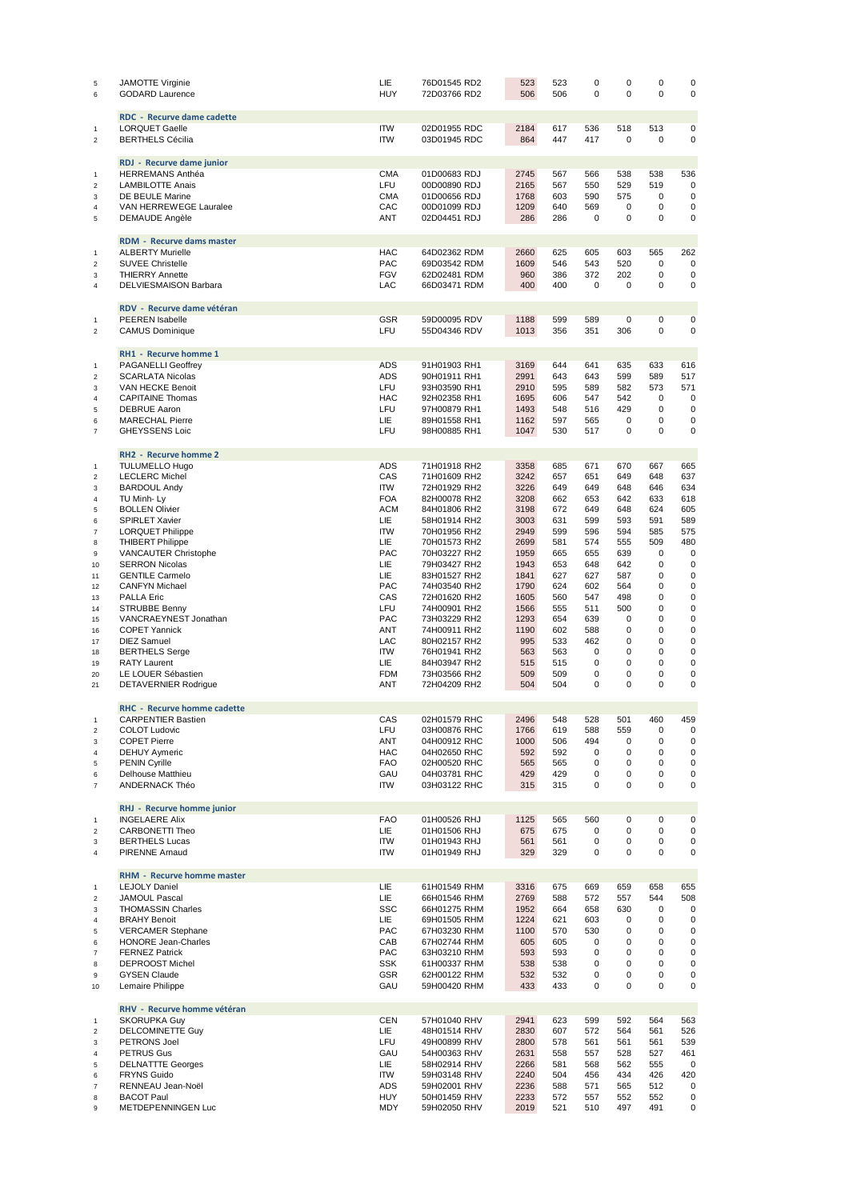| $\,$ 5<br>6                      | <b>JAMOTTE Virginie</b><br><b>GODARD Laurence</b>   | LIE<br><b>HUY</b>        | 76D01545 RD2<br>72D03766 RD2 | 523<br>506   | 523<br>506 | $\mathbf 0$<br>$\mathbf 0$ | $\mathbf 0$<br>$\Omega$    | $\mathbf 0$<br>$\Omega$    | 0<br>$\mathbf 0$ |
|----------------------------------|-----------------------------------------------------|--------------------------|------------------------------|--------------|------------|----------------------------|----------------------------|----------------------------|------------------|
|                                  | <b>RDC</b> - Recurve dame cadette                   |                          |                              |              |            |                            |                            |                            |                  |
| $\mathbf{1}$<br>$\overline{2}$   | <b>LORQUET Gaelle</b><br><b>BERTHELS Cécilia</b>    | <b>ITW</b><br><b>ITW</b> | 02D01955 RDC<br>03D01945 RDC | 2184<br>864  | 617<br>447 | 536<br>417                 | 518<br>$\mathbf 0$         | 513<br>$\Omega$            | 0<br>$\mathbf 0$ |
|                                  | RDJ - Recurve dame junior                           |                          |                              |              |            |                            |                            |                            |                  |
| $\mathbf{1}$                     | <b>HERREMANS Anthéa</b>                             | <b>CMA</b>               | 01D00683 RDJ                 | 2745         | 567        | 566                        | 538                        | 538                        | 536              |
| $\overline{2}$                   | <b>LAMBILOTTE Anais</b>                             | LFU                      | 00D00890 RDJ                 | 2165         | 567        | 550                        | 529                        | 519                        | $\mathbf 0$      |
| 3                                | DE BEULE Marine                                     | <b>CMA</b><br>CAC        | 01D00656 RDJ<br>00D01099 RDJ | 1768<br>1209 | 603<br>640 | 590<br>569                 | 575<br>$\mathbf 0$         | $\mathbf 0$<br>$\mathbf 0$ | $\mathbf 0$<br>0 |
| $\overline{4}$<br>5              | VAN HERREWEGE Lauralee<br><b>DEMAUDE Angèle</b>     | <b>ANT</b>               | 02D04451 RDJ                 | 286          | 286        | $\mathbf 0$                | $\Omega$                   | $\Omega$                   | 0                |
|                                  |                                                     |                          |                              |              |            |                            |                            |                            |                  |
|                                  | <b>RDM - Recurve dams master</b>                    |                          |                              |              |            |                            |                            |                            |                  |
| $\mathbf{1}$                     | <b>ALBERTY Murielle</b>                             | <b>HAC</b>               | 64D02362 RDM                 | 2660         | 625        | 605                        | 603                        | 565<br>$\Omega$            | 262              |
| $\overline{2}$<br>3              | <b>SUVEE Christelle</b><br><b>THIERRY Annette</b>   | PAC<br><b>FGV</b>        | 69D03542 RDM<br>62D02481 RDM | 1609<br>960  | 546<br>386 | 543<br>372                 | 520<br>202                 | $\mathbf 0$                | 0<br>0           |
| 4                                | DELVIESMAISON Barbara                               | LAC                      | 66D03471 RDM                 | 400          | 400        | $\mathbf 0$                | $\mathbf 0$                | 0                          | 0                |
|                                  |                                                     |                          |                              |              |            |                            |                            |                            |                  |
| $\mathbf{1}$                     | RDV - Recurve dame vétéran<br>PEEREN Isabelle       | <b>GSR</b>               | 59D00095 RDV                 | 1188         | 599        | 589                        | $\mathbf 0$                | 0                          | 0                |
| $\overline{2}$                   | <b>CAMUS Dominique</b>                              | LFU                      | 55D04346 RDV                 | 1013         | 356        | 351                        | 306                        | $\mathbf 0$                | 0                |
|                                  |                                                     |                          |                              |              |            |                            |                            |                            |                  |
|                                  | <b>RH1 - Recurve homme 1</b>                        |                          |                              |              |            |                            |                            |                            |                  |
| $\mathbf{1}$                     | <b>PAGANELLI Geoffrey</b>                           | <b>ADS</b><br><b>ADS</b> | 91H01903 RH1                 | 3169<br>2991 | 644<br>643 | 641<br>643                 | 635<br>599                 | 633<br>589                 | 616<br>517       |
| $\boldsymbol{2}$<br>3            | <b>SCARLATA Nicolas</b><br>VAN HECKE Benoit         | LFU                      | 90H01911 RH1<br>93H03590 RH1 | 2910         | 595        | 589                        | 582                        | 573                        | 571              |
| $\overline{4}$                   | <b>CAPITAINE Thomas</b>                             | <b>HAC</b>               | 92H02358 RH1                 | 1695         | 606        | 547                        | 542                        | $\mathbf 0$                | $\mathbf 0$      |
| 5                                | <b>DEBRUE Aaron</b>                                 | LFU                      | 97H00879 RH1                 | 1493         | 548        | 516                        | 429                        | 0                          | $\mathbf 0$      |
| 6                                | <b>MARECHAL Pierre</b>                              | LIE                      | 89H01558 RH1                 | 1162         | 597        | 565                        | $\mathbf 0$                | 0                          | 0                |
| $\overline{7}$                   | <b>GHEYSSENS Loic</b>                               | LFU                      | 98H00885 RH1                 | 1047         | 530        | 517                        | $\mathbf 0$                | 0                          | 0                |
|                                  | <b>RH2 - Recurve homme 2</b>                        |                          |                              |              |            |                            |                            |                            |                  |
| $\mathbf{1}$                     | <b>TULUMELLO Hugo</b>                               | <b>ADS</b>               | 71H01918 RH2                 | 3358         | 685        | 671                        | 670                        | 667                        | 665              |
| $\sqrt{2}$                       | <b>LECLERC Michel</b>                               | CAS                      | 71H01609 RH2                 | 3242         | 657        | 651                        | 649                        | 648                        | 637              |
| 3                                | <b>BARDOUL Andy</b>                                 | <b>ITW</b>               | 72H01929 RH2                 | 3226         | 649        | 649                        | 648                        | 646                        | 634              |
| $\overline{4}$                   | TU Minh-Ly                                          | <b>FOA</b>               | 82H00078 RH2                 | 3208         | 662        | 653                        | 642                        | 633                        | 618              |
| 5                                | <b>BOLLEN Olivier</b>                               | <b>ACM</b>               | 84H01806 RH2                 | 3198         | 672        | 649                        | 648                        | 624                        | 605              |
| 6                                | <b>SPIRLET Xavier</b>                               | LIE<br><b>ITW</b>        | 58H01914 RH2                 | 3003<br>2949 | 631<br>599 | 599<br>596                 | 593<br>594                 | 591<br>585                 | 589<br>575       |
| $\overline{7}$<br>8              | <b>LORQUET Philippe</b><br><b>THIBERT Philippe</b>  | LIE                      | 70H01956 RH2<br>70H01573 RH2 | 2699         | 581        | 574                        | 555                        | 509                        | 480              |
| 9                                | VANCAUTER Christophe                                | PAC                      | 70H03227 RH2                 | 1959         | 665        | 655                        | 639                        | $\mathbf 0$                | 0                |
| 10                               | <b>SERRON Nicolas</b>                               | LIE                      | 79H03427 RH2                 | 1943         | 653        | 648                        | 642                        | 0                          | $\mathbf 0$      |
| 11                               | <b>GENTILE Carmelo</b>                              | LIE                      | 83H01527 RH2                 | 1841         | 627        | 627                        | 587                        | $\Omega$                   | 0                |
| 12                               | <b>CANFYN Michael</b>                               | <b>PAC</b>               | 74H03540 RH2                 | 1790         | 624        | 602                        | 564                        | 0                          | 0                |
| 13                               | <b>PALLA Eric</b>                                   | CAS                      | 72H01620 RH2                 | 1605         | 560        | 547                        | 498                        | 0                          | 0                |
| 14<br>15                         | <b>STRUBBE Benny</b><br>VANCRAEYNEST Jonathan       | LFU<br><b>PAC</b>        | 74H00901 RH2<br>73H03229 RH2 | 1566<br>1293 | 555<br>654 | 511<br>639                 | 500<br>$\mathbf 0$         | 0<br>0                     | 0<br>0           |
| 16                               | <b>COPET Yannick</b>                                | <b>ANT</b>               | 74H00911 RH2                 | 1190         | 602        | 588                        | $\mathbf 0$                | 0                          | 0                |
| 17                               | <b>DIEZ Samuel</b>                                  | LAC                      | 80H02157 RH2                 | 995          | 533        | 462                        | 0                          | 0                          | 0                |
| 18                               | <b>BERTHELS Serge</b>                               | <b>ITW</b>               | 76H01941 RH2                 | 563          | 563        | $\Omega$                   | $\Omega$                   | $\Omega$                   | 0                |
| 19                               | <b>RATY Laurent</b>                                 | LIE                      | 84H03947 RH2                 | 515          | 515        | 0                          | 0                          | 0                          | 0                |
| 20                               | LE LOUER Sébastien                                  | <b>FDM</b>               | 73H03566 RH2                 | 509          | 509        | 0                          | 0                          | 0                          | 0                |
| 21                               | DETAVERNIER Rodrigue                                | ANT                      | 72H04209 RH2                 | 504          | 504        | 0                          | 0                          | 0                          | $\mathbf 0$      |
|                                  | <b>RHC</b> - Recurve homme cadette                  |                          |                              |              |            |                            |                            |                            |                  |
| $\mathbf{1}$                     | <b>CARPENTIER Bastien</b>                           | CAS                      | 02H01579 RHC                 | 2496         | 548        | 528                        | 501                        | 460                        | 459              |
| $\overline{2}$                   | <b>COLOT Ludovic</b>                                | LFU                      | 03H00876 RHC                 | 1766         | 619        | 588                        | 559                        | $\pmb{0}$                  | 0                |
| 3                                | <b>COPET Pierre</b>                                 | ANT                      | 04H00912 RHC                 | 1000         | 506        | 494                        | $\mathbf 0$                | 0                          | 0                |
| 4<br>5                           | <b>DEHUY Aymeric</b><br><b>PENIN Cyrille</b>        | HAC<br><b>FAO</b>        | 04H02650 RHC<br>02H00520 RHC | 592<br>565   | 592<br>565 | 0<br>0                     | $\mathbf 0$<br>$\mathbf 0$ | 0<br>0                     | 0<br>0           |
| 6                                | Delhouse Matthieu                                   | GAU                      | 04H03781 RHC                 | 429          | 429        | 0                          | 0                          | 0                          | 0                |
| $\overline{7}$                   | ANDERNACK Théo                                      | <b>ITW</b>               | 03H03122 RHC                 | 315          | 315        | 0                          | $\mathbf 0$                | 0                          | 0                |
|                                  |                                                     |                          |                              |              |            |                            |                            |                            |                  |
|                                  | RHJ - Recurve homme junior<br><b>INGELAERE Alix</b> |                          |                              |              |            |                            |                            | $\mathbf 0$                |                  |
| $\mathbf{1}$<br>$\overline{2}$   | CARBONETTI Theo                                     | <b>FAO</b><br>LIE        | 01H00526 RHJ<br>01H01506 RHJ | 1125<br>675  | 565<br>675 | 560<br>0                   | $\mathbf 0$<br>0           | 0                          | $\pmb{0}$<br>0   |
| 3                                | <b>BERTHELS Lucas</b>                               | <b>ITW</b>               | 01H01943 RHJ                 | 561          | 561        | 0                          | 0                          | 0                          | 0                |
| 4                                | <b>PIRENNE Arnaud</b>                               | <b>ITW</b>               | 01H01949 RHJ                 | 329          | 329        | $\mathbf 0$                | $\mathbf 0$                | $\mathbf 0$                | 0                |
|                                  |                                                     |                          |                              |              |            |                            |                            |                            |                  |
|                                  | RHM - Recurve homme master                          |                          |                              |              |            |                            |                            |                            |                  |
| $\mathbf{1}$<br>$\boldsymbol{2}$ | <b>LEJOLY Daniel</b><br><b>JAMOUL Pascal</b>        | LIE<br>LIE               | 61H01549 RHM<br>66H01546 RHM | 3316<br>2769 | 675<br>588 | 669<br>572                 | 659<br>557                 | 658<br>544                 | 655<br>508       |
| 3                                | <b>THOMASSIN Charles</b>                            | <b>SSC</b>               | 66H01275 RHM                 | 1952         | 664        | 658                        | 630                        | $\pmb{0}$                  | $\mathbf 0$      |
| 4                                | <b>BRAHY Benoit</b>                                 | LIE                      | 69H01505 RHM                 | 1224         | 621        | 603                        | $\mathbf 0$                | $\pmb{0}$                  | 0                |
| 5                                | <b>VERCAMER Stephane</b>                            | PAC                      | 67H03230 RHM                 | 1100         | 570        | 530                        | 0                          | 0                          | 0                |
| 6                                | <b>HONORE Jean-Charles</b>                          | CAB                      | 67H02744 RHM                 | 605          | 605        | 0                          | $\mathbf 0$                | 0                          | 0                |
| $\overline{7}$                   | <b>FERNEZ Patrick</b>                               | PAC                      | 63H03210 RHM                 | 593          | 593        | 0                          | $\mathbf 0$                | 0                          | 0                |
| 8<br>9                           | <b>DEPROOST Michel</b><br><b>GYSEN Claude</b>       | <b>SSK</b><br>GSR        | 61H00337 RHM<br>62H00122 RHM | 538<br>532   | 538<br>532 | $\mathbf 0$<br>0           | 0<br>0                     | 0<br>0                     | 0<br>0           |
| 10                               | Lemaire Philippe                                    | GAU                      | 59H00420 RHM                 | 433          | 433        | $\mathbf 0$                | $\mathbf 0$                | 0                          | 0                |
|                                  |                                                     |                          |                              |              |            |                            |                            |                            |                  |
|                                  | RHV - Recurve homme vétéran                         |                          |                              |              |            |                            |                            |                            |                  |
| $\mathbf{1}$<br>$\overline{2}$   | <b>SKORUPKA Guy</b><br>DELCOMINETTE Guy             | <b>CEN</b><br>LIE        | 57H01040 RHV<br>48H01514 RHV | 2941<br>2830 | 623<br>607 | 599<br>572                 | 592<br>564                 | 564<br>561                 | 563<br>526       |
| 3                                | PETRONS Joel                                        | LFU                      | 49H00899 RHV                 | 2800         | 578        | 561                        | 561                        | 561                        | 539              |
| $\overline{4}$                   | <b>PETRUS Gus</b>                                   | GAU                      | 54H00363 RHV                 | 2631         | 558        | 557                        | 528                        | 527                        | 461              |
| 5                                | <b>DELNATTTE Georges</b>                            | LIE                      | 58H02914 RHV                 | 2266         | 581        | 568                        | 562                        | 555                        | 0                |
| 6                                | <b>FRYNS Guido</b>                                  | <b>ITW</b>               | 59H03148 RHV                 | 2240         | 504        | 456                        | 434                        | 426                        | 420              |
| $\boldsymbol{7}$                 | RENNEAU Jean-Noël                                   | ADS                      | 59H02001 RHV                 | 2236         | 588        | 571                        | 565                        | 512                        | 0                |
| 8<br>9                           | <b>BACOT Paul</b><br>METDEPENNINGEN Luc             | HUY<br>MDY               | 50H01459 RHV<br>59H02050 RHV | 2233<br>2019 | 572<br>521 | 557<br>510                 | 552<br>497                 | 552<br>491                 | 0<br>0           |